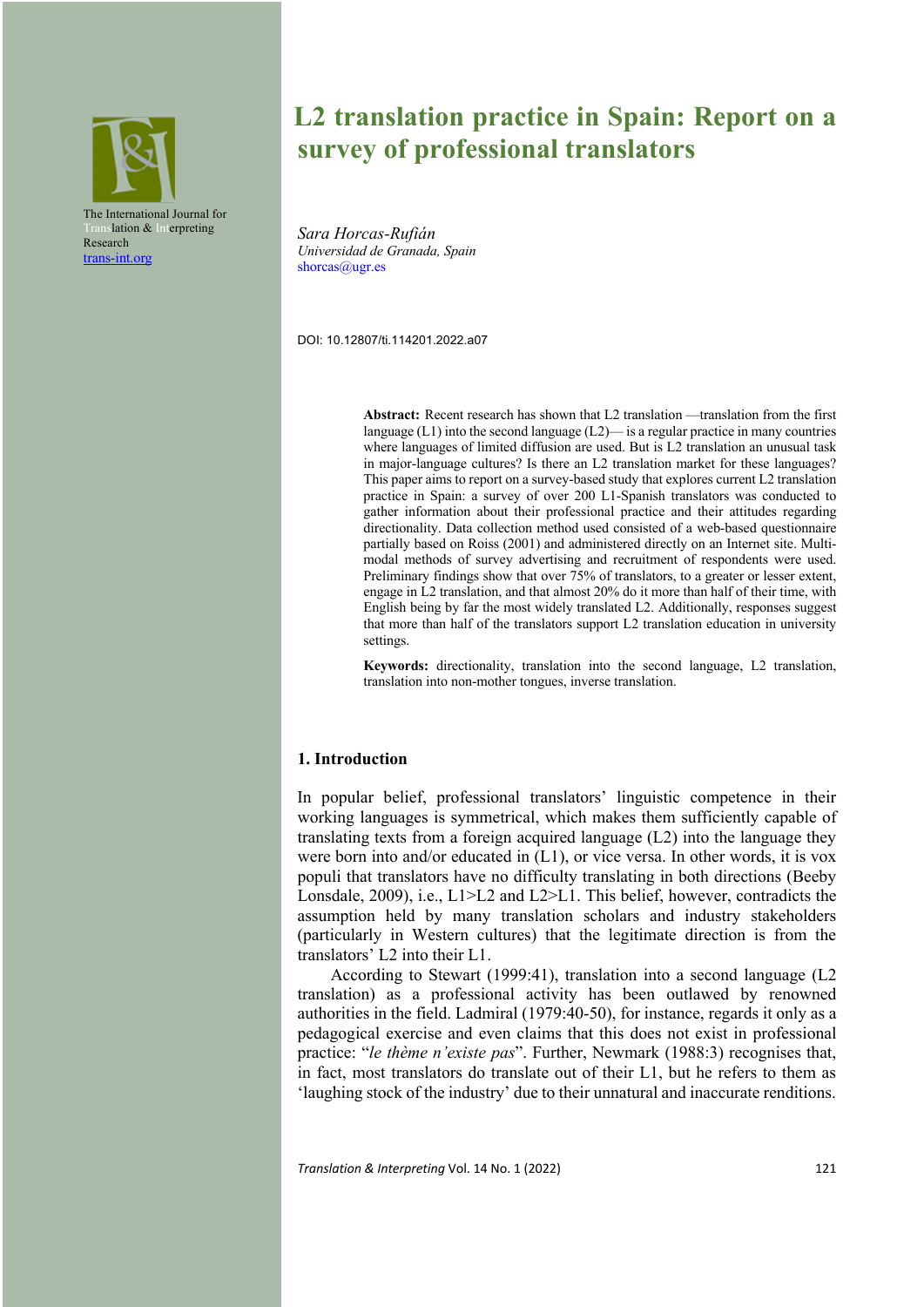

# **L2 translation practice in Spain: Report on a survey of professional translators**

*Sara Horcas-Rufián Universidad de Granada, Spain* shorcas@ugr.es

DOI: 10.12807/ti.114201.2022.a07

**Abstract:** Recent research has shown that L2 translation —translation from the first language  $(L1)$  into the second language  $(L2)$ — is a regular practice in many countries where languages of limited diffusion are used. But is L2 translation an unusual task in major-language cultures? Is there an L2 translation market for these languages? This paper aims to report on a survey-based study that explores current L2 translation practice in Spain: a survey of over 200 L1-Spanish translators was conducted to gather information about their professional practice and their attitudes regarding directionality. Data collection method used consisted of a web-based questionnaire partially based on Roiss (2001) and administered directly on an Internet site. Multimodal methods of survey advertising and recruitment of respondents were used. Preliminary findings show that over 75% of translators, to a greater or lesser extent, engage in L2 translation, and that almost 20% do it more than half of their time, with English being by far the most widely translated L2. Additionally, responses suggest that more than half of the translators support L2 translation education in university settings.

**Keywords:** directionality, translation into the second language, L2 translation, translation into non-mother tongues, inverse translation.

# **1. Introduction**

In popular belief, professional translators' linguistic competence in their working languages is symmetrical, which makes them sufficiently capable of translating texts from a foreign acquired language (L2) into the language they were born into and/or educated in (L1), or vice versa. In other words, it is vox populi that translators have no difficulty translating in both directions (Beeby Lonsdale, 2009), i.e., L1>L2 and L2>L1. This belief, however, contradicts the assumption held by many translation scholars and industry stakeholders (particularly in Western cultures) that the legitimate direction is from the translators' L2 into their L1.

According to Stewart (1999:41), translation into a second language (L2 translation) as a professional activity has been outlawed by renowned authorities in the field. Ladmiral (1979:40-50), for instance, regards it only as a pedagogical exercise and even claims that this does not exist in professional practice: "*le thème n'existe pas*". Further, Newmark (1988:3) recognises that, in fact, most translators do translate out of their L1, but he refers to them as 'laughing stock of the industry' due to their unnatural and inaccurate renditions.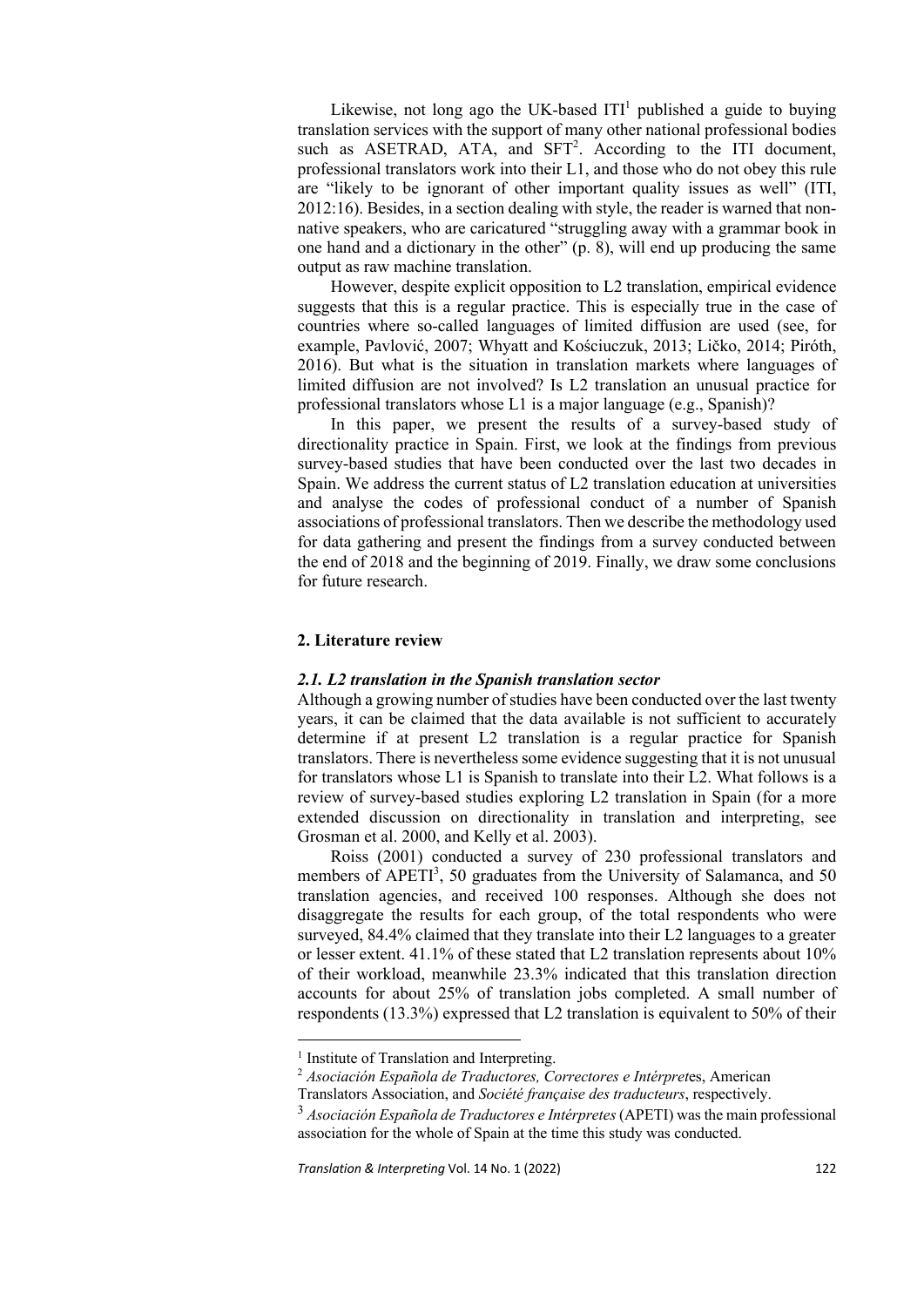Likewise, not long ago the UK-based  $ITI<sup>1</sup>$  published a guide to buying translation services with the support of many other national professional bodies such as ASETRAD, ATA, and SFT<sup>2</sup>. According to the ITI document, professional translators work into their L1, and those who do not obey this rule are "likely to be ignorant of other important quality issues as well" (ITI, 2012:16). Besides, in a section dealing with style, the reader is warned that nonnative speakers, who are caricatured "struggling away with a grammar book in one hand and a dictionary in the other" (p. 8), will end up producing the same output as raw machine translation.

However, despite explicit opposition to L2 translation, empirical evidence suggests that this is a regular practice. This is especially true in the case of countries where so-called languages of limited diffusion are used (see, for example, Pavlović, 2007; Whyatt and Kościuczuk, 2013; Ličko, 2014; Piróth, 2016). But what is the situation in translation markets where languages of limited diffusion are not involved? Is L2 translation an unusual practice for professional translators whose L1 is a major language (e.g., Spanish)?

In this paper, we present the results of a survey-based study of directionality practice in Spain. First, we look at the findings from previous survey-based studies that have been conducted over the last two decades in Spain. We address the current status of L2 translation education at universities and analyse the codes of professional conduct of a number of Spanish associations of professional translators. Then we describe the methodology used for data gathering and present the findings from a survey conducted between the end of 2018 and the beginning of 2019. Finally, we draw some conclusions for future research.

# **2. Literature review**

#### *2.1. L2 translation in the Spanish translation sector*

Although a growing number of studies have been conducted over the last twenty years, it can be claimed that the data available is not sufficient to accurately determine if at present L2 translation is a regular practice for Spanish translators. There is nevertheless some evidence suggesting that it is not unusual for translators whose L1 is Spanish to translate into their L2. What follows is a review of survey-based studies exploring L2 translation in Spain (for a more extended discussion on directionality in translation and interpreting, see Grosman et al. 2000, and Kelly et al. 2003).

Roiss (2001) conducted a survey of 230 professional translators and members of APETI<sup>3</sup>, 50 graduates from the University of Salamanca, and 50 translation agencies, and received 100 responses. Although she does not disaggregate the results for each group, of the total respondents who were surveyed, 84.4% claimed that they translate into their L2 languages to a greater or lesser extent. 41.1% of these stated that L2 translation represents about 10% of their workload, meanwhile 23.3% indicated that this translation direction accounts for about 25% of translation jobs completed. A small number of respondents (13.3%) expressed that L2 translation is equivalent to 50% of their

<sup>&</sup>lt;sup>1</sup> Institute of Translation and Interpreting.

<sup>2</sup> *Asociación Española de Traductores, Correctores e Intérpret*es, American

Translators Association, and *Société française des traducteurs*, respectively.

<sup>3</sup> *Asociación Española de Traductores e Intérpretes* (APETI) was the main professional association for the whole of Spain at the time this study was conducted.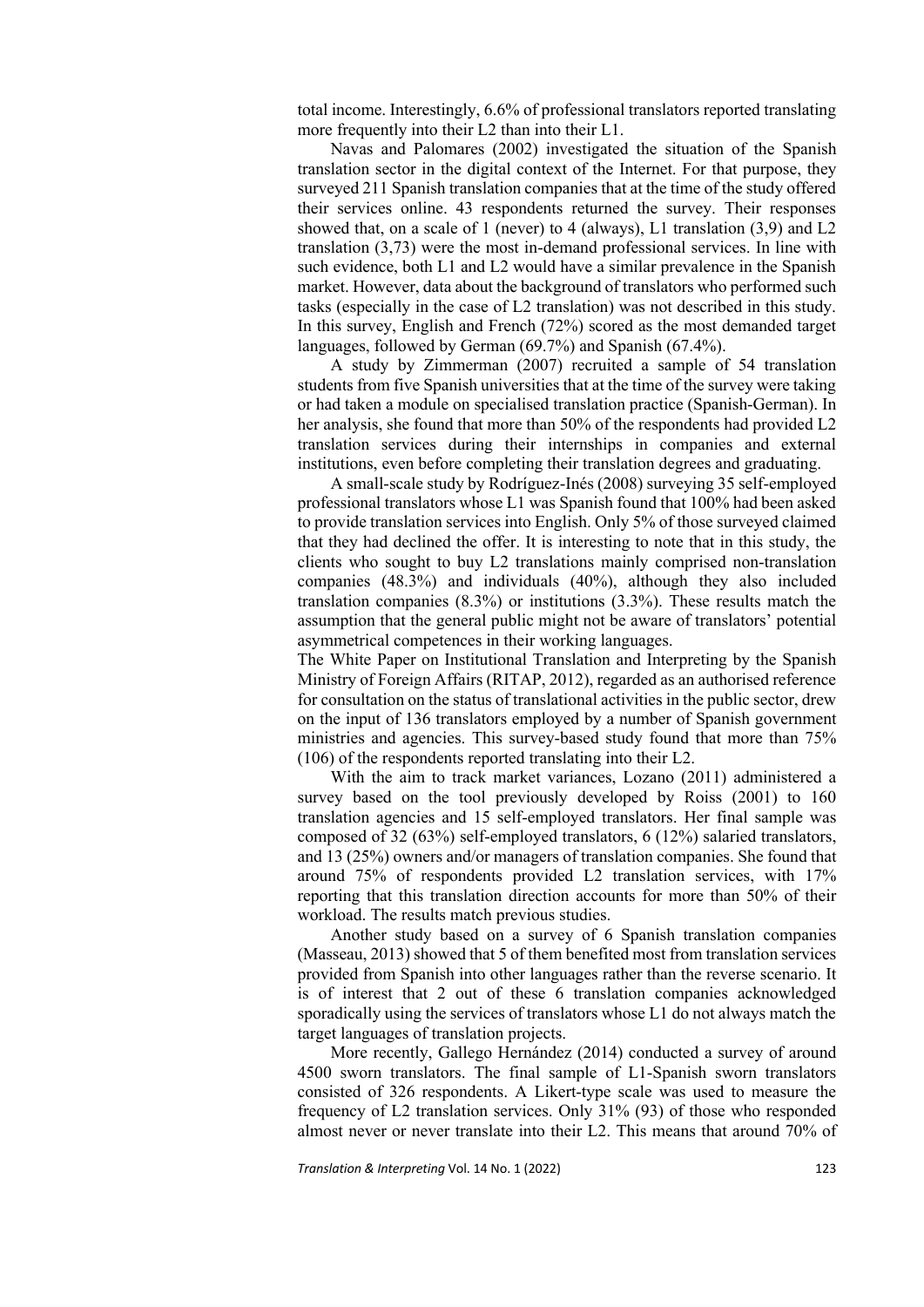total income. Interestingly, 6.6% of professional translators reported translating more frequently into their L2 than into their L1.

Navas and Palomares (2002) investigated the situation of the Spanish translation sector in the digital context of the Internet. For that purpose, they surveyed 211 Spanish translation companies that at the time of the study offered their services online. 43 respondents returned the survey. Their responses showed that, on a scale of 1 (never) to 4 (always), L1 translation (3,9) and L2 translation (3,73) were the most in-demand professional services. In line with such evidence, both L1 and L2 would have a similar prevalence in the Spanish market. However, data about the background of translators who performed such tasks (especially in the case of L2 translation) was not described in this study. In this survey, English and French (72%) scored as the most demanded target languages, followed by German (69.7%) and Spanish (67.4%).

A study by Zimmerman (2007) recruited a sample of 54 translation students from five Spanish universities that at the time of the survey were taking or had taken a module on specialised translation practice (Spanish-German). In her analysis, she found that more than 50% of the respondents had provided L2 translation services during their internships in companies and external institutions, even before completing their translation degrees and graduating.

A small-scale study by Rodríguez-Inés (2008) surveying 35 self-employed professional translators whose L1 was Spanish found that 100% had been asked to provide translation services into English. Only 5% of those surveyed claimed that they had declined the offer. It is interesting to note that in this study, the clients who sought to buy L2 translations mainly comprised non-translation companies (48.3%) and individuals (40%), although they also included translation companies (8.3%) or institutions (3.3%). These results match the assumption that the general public might not be aware of translators' potential asymmetrical competences in their working languages.

The White Paper on Institutional Translation and Interpreting by the Spanish Ministry of Foreign Affairs (RITAP, 2012), regarded as an authorised reference for consultation on the status of translational activities in the public sector, drew on the input of 136 translators employed by a number of Spanish government ministries and agencies. This survey-based study found that more than 75% (106) of the respondents reported translating into their L2.

With the aim to track market variances, Lozano (2011) administered a survey based on the tool previously developed by Roiss (2001) to 160 translation agencies and 15 self-employed translators. Her final sample was composed of 32 (63%) self-employed translators, 6 (12%) salaried translators, and 13 (25%) owners and/or managers of translation companies. She found that around 75% of respondents provided L2 translation services, with 17% reporting that this translation direction accounts for more than 50% of their workload. The results match previous studies.

Another study based on a survey of 6 Spanish translation companies (Masseau, 2013) showed that 5 of them benefited most from translation services provided from Spanish into other languages rather than the reverse scenario. It is of interest that 2 out of these 6 translation companies acknowledged sporadically using the services of translators whose L1 do not always match the target languages of translation projects.

More recently, Gallego Hernández (2014) conducted a survey of around 4500 sworn translators. The final sample of L1-Spanish sworn translators consisted of 326 respondents. A Likert-type scale was used to measure the frequency of L2 translation services. Only 31% (93) of those who responded almost never or never translate into their L2. This means that around 70% of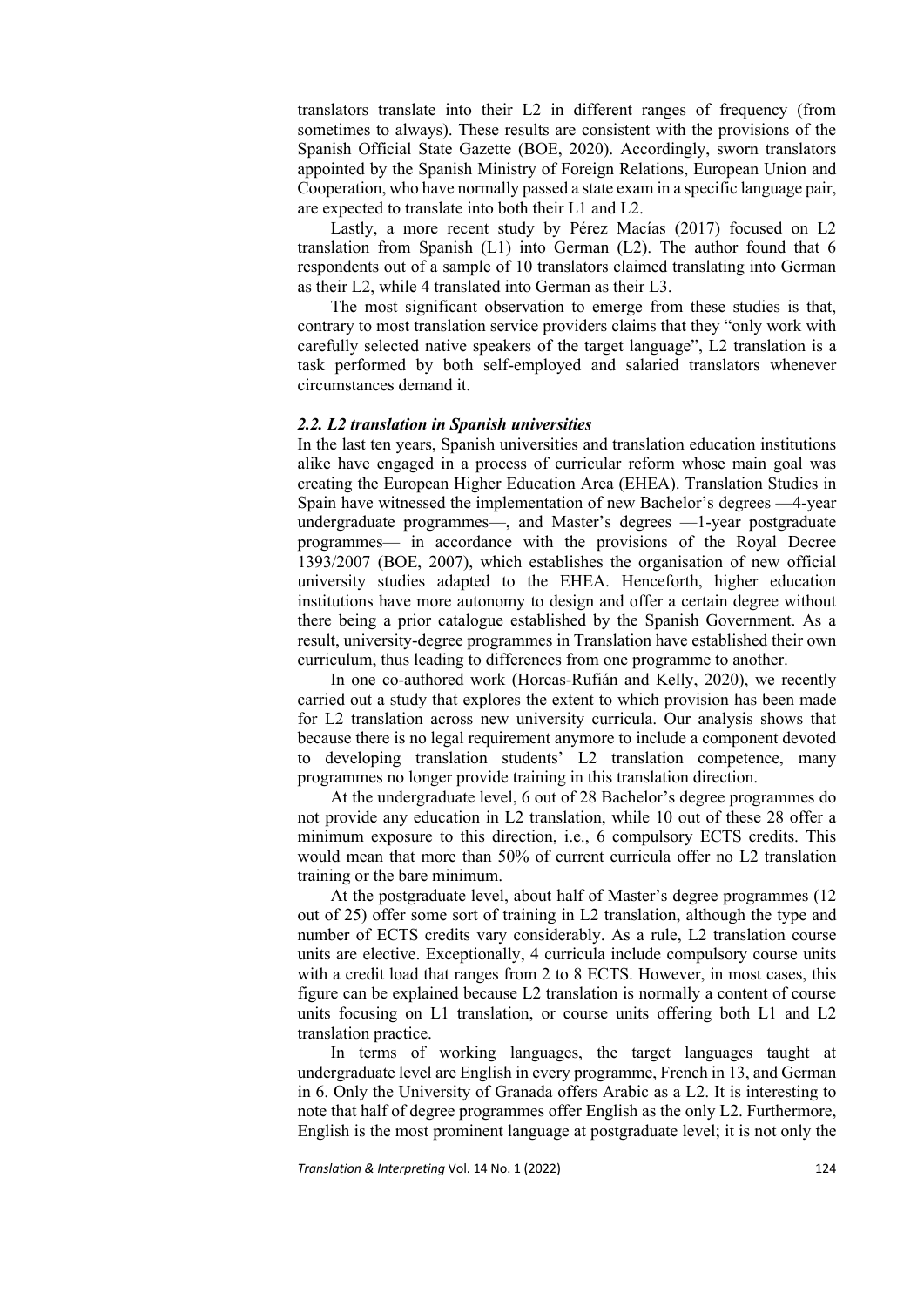translators translate into their L2 in different ranges of frequency (from sometimes to always). These results are consistent with the provisions of the Spanish Official State Gazette (BOE, 2020). Accordingly, sworn translators appointed by the Spanish Ministry of Foreign Relations, European Union and Cooperation, who have normally passed a state exam in a specific language pair, are expected to translate into both their L1 and L2.

Lastly, a more recent study by Pérez Macías (2017) focused on L2 translation from Spanish (L1) into German (L2). The author found that 6 respondents out of a sample of 10 translators claimed translating into German as their L2, while 4 translated into German as their L3.

The most significant observation to emerge from these studies is that, contrary to most translation service providers claims that they "only work with carefully selected native speakers of the target language", L2 translation is a task performed by both self-employed and salaried translators whenever circumstances demand it.

#### *2.2. L2 translation in Spanish universities*

In the last ten years, Spanish universities and translation education institutions alike have engaged in a process of curricular reform whose main goal was creating the European Higher Education Area (EHEA). Translation Studies in Spain have witnessed the implementation of new Bachelor's degrees —4-year undergraduate programmes—, and Master's degrees —1-year postgraduate programmes— in accordance with the provisions of the Royal Decree 1393/2007 (BOE, 2007), which establishes the organisation of new official university studies adapted to the EHEA. Henceforth, higher education institutions have more autonomy to design and offer a certain degree without there being a prior catalogue established by the Spanish Government. As a result, university-degree programmes in Translation have established their own curriculum, thus leading to differences from one programme to another.

In one co-authored work (Horcas-Rufián and Kelly, 2020), we recently carried out a study that explores the extent to which provision has been made for L2 translation across new university curricula. Our analysis shows that because there is no legal requirement anymore to include a component devoted developing translation students' L2 translation competence, many programmes no longer provide training in this translation direction.

At the undergraduate level, 6 out of 28 Bachelor's degree programmes do not provide any education in L2 translation, while 10 out of these 28 offer a minimum exposure to this direction, i.e., 6 compulsory ECTS credits. This would mean that more than 50% of current curricula offer no L2 translation training or the bare minimum.

At the postgraduate level, about half of Master's degree programmes (12 out of 25) offer some sort of training in L2 translation, although the type and number of ECTS credits vary considerably. As a rule, L2 translation course units are elective. Exceptionally, 4 curricula include compulsory course units with a credit load that ranges from 2 to 8 ECTS. However, in most cases, this figure can be explained because L2 translation is normally a content of course units focusing on L1 translation, or course units offering both L1 and L2 translation practice.

In terms of working languages, the target languages taught at undergraduate level are English in every programme, French in 13, and German in 6. Only the University of Granada offers Arabic as a L2. It is interesting to note that half of degree programmes offer English as the only L2. Furthermore, English is the most prominent language at postgraduate level; it is not only the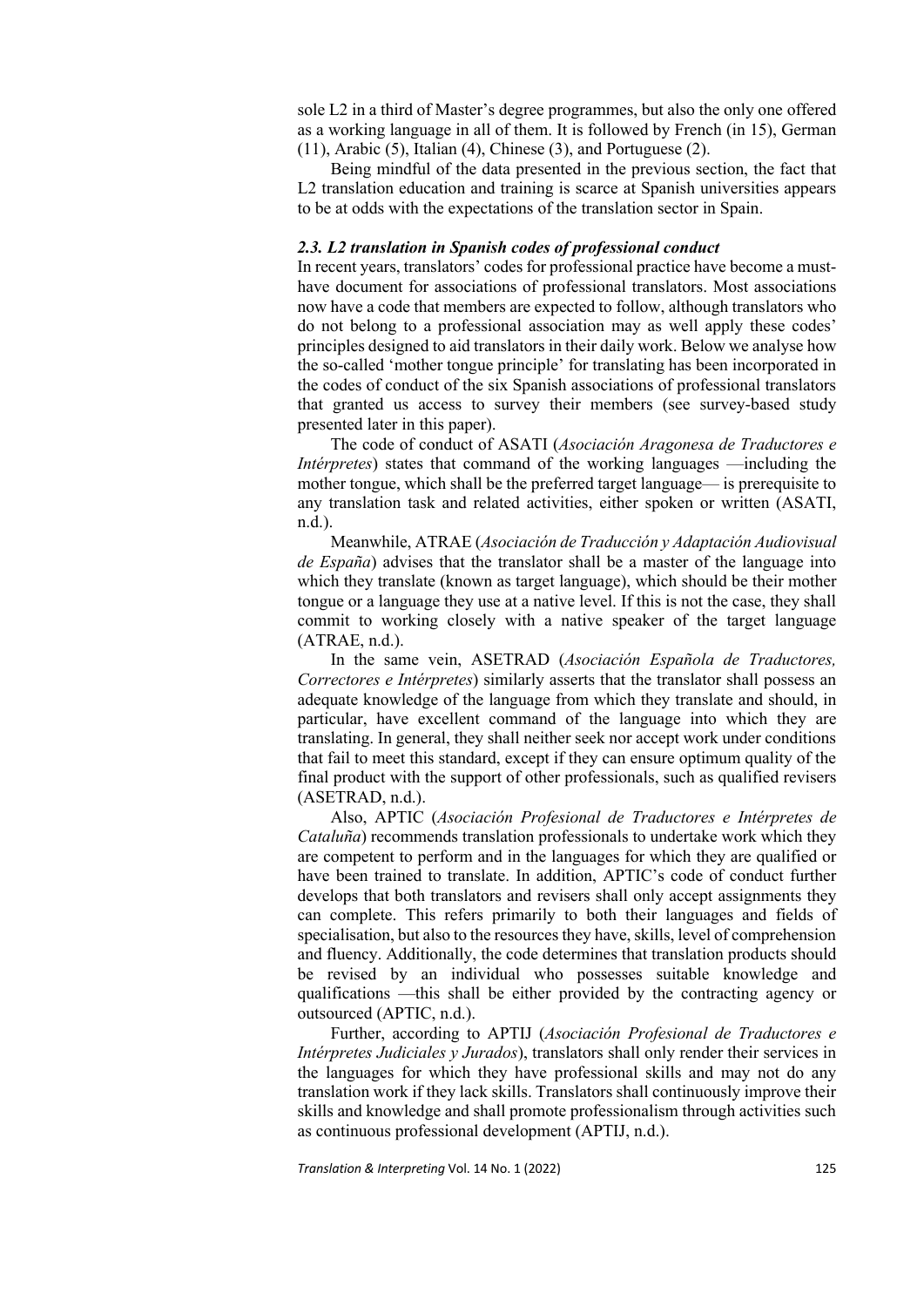sole L2 in a third of Master's degree programmes, but also the only one offered as a working language in all of them. It is followed by French (in 15), German  $(11)$ , Arabic  $(5)$ , Italian  $(4)$ , Chinese  $(3)$ , and Portuguese  $(2)$ .

Being mindful of the data presented in the previous section, the fact that L2 translation education and training is scarce at Spanish universities appears to be at odds with the expectations of the translation sector in Spain.

#### *2.3. L2 translation in Spanish codes of professional conduct*

In recent years, translators' codes for professional practice have become a musthave document for associations of professional translators. Most associations now have a code that members are expected to follow, although translators who do not belong to a professional association may as well apply these codes' principles designed to aid translators in their daily work. Below we analyse how the so-called 'mother tongue principle' for translating has been incorporated in the codes of conduct of the six Spanish associations of professional translators that granted us access to survey their members (see survey-based study presented later in this paper).

The code of conduct of ASATI (*Asociación Aragonesa de Traductores e Intérpretes*) states that command of the working languages —including the mother tongue, which shall be the preferred target language— is prerequisite to any translation task and related activities, either spoken or written (ASATI, n.d.).

Meanwhile, ATRAE (*Asociación de Traducción y Adaptación Audiovisual de España*) advises that the translator shall be a master of the language into which they translate (known as target language), which should be their mother tongue or a language they use at a native level. If this is not the case, they shall commit to working closely with a native speaker of the target language (ATRAE, n.d.).

In the same vein, ASETRAD (*Asociación Española de Traductores, Correctores e Intérpretes*) similarly asserts that the translator shall possess an adequate knowledge of the language from which they translate and should, in particular, have excellent command of the language into which they are translating. In general, they shall neither seek nor accept work under conditions that fail to meet this standard, except if they can ensure optimum quality of the final product with the support of other professionals, such as qualified revisers (ASETRAD, n.d.).

Also, APTIC (*Asociación Profesional de Traductores e Intérpretes de Cataluña*) recommends translation professionals to undertake work which they are competent to perform and in the languages for which they are qualified or have been trained to translate. In addition, APTIC's code of conduct further develops that both translators and revisers shall only accept assignments they can complete. This refers primarily to both their languages and fields of specialisation, but also to the resources they have, skills, level of comprehension and fluency. Additionally, the code determines that translation products should be revised by an individual who possesses suitable knowledge and qualifications —this shall be either provided by the contracting agency or outsourced (APTIC, n.d.).

Further, according to APTIJ (*Asociación Profesional de Traductores e Intérpretes Judiciales y Jurados*), translators shall only render their services in the languages for which they have professional skills and may not do any translation work if they lack skills. Translators shall continuously improve their skills and knowledge and shall promote professionalism through activities such as continuous professional development (APTIJ, n.d.).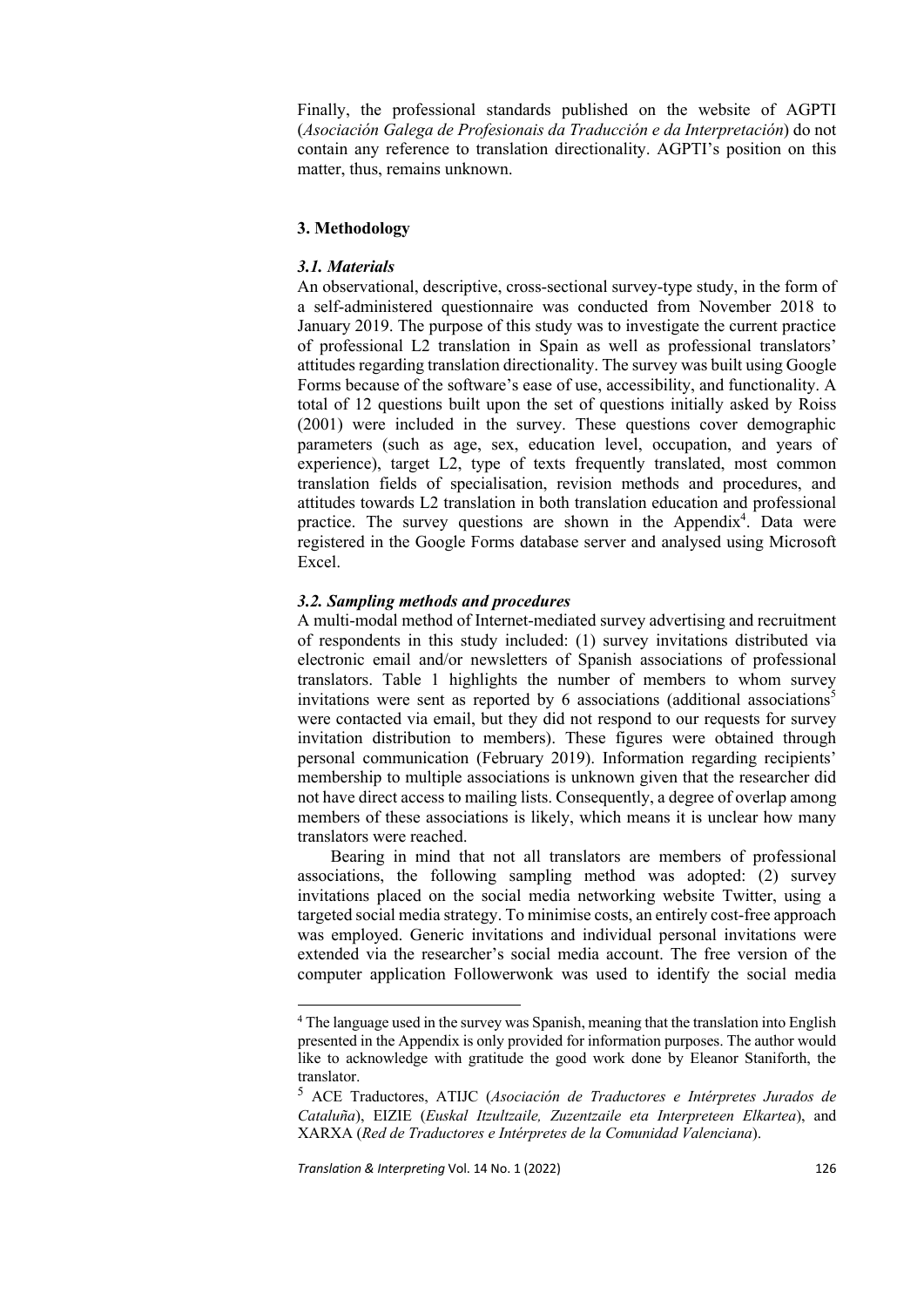Finally, the professional standards published on the website of AGPTI (*Asociación Galega de Profesionais da Traducción e da Interpretación*) do not contain any reference to translation directionality. AGPTI's position on this matter, thus, remains unknown.

# **3. Methodology**

# *3.1. Materials*

An observational, descriptive, cross-sectional survey-type study, in the form of a self-administered questionnaire was conducted from November 2018 to January 2019. The purpose of this study was to investigate the current practice of professional L2 translation in Spain as well as professional translators' attitudes regarding translation directionality. The survey was built using Google Forms because of the software's ease of use, accessibility, and functionality. A total of 12 questions built upon the set of questions initially asked by Roiss (2001) were included in the survey. These questions cover demographic parameters (such as age, sex, education level, occupation, and years of experience), target L2, type of texts frequently translated, most common translation fields of specialisation, revision methods and procedures, and attitudes towards L2 translation in both translation education and professional practice. The survey questions are shown in the Appendix<sup>4</sup>. Data were registered in the Google Forms database server and analysed using Microsoft Excel.

# *3.2. Sampling methods and procedures*

A multi-modal method of Internet-mediated survey advertising and recruitment of respondents in this study included: (1) survey invitations distributed via electronic email and/or newsletters of Spanish associations of professional translators. Table 1 highlights the number of members to whom survey invitations were sent as reported by 6 associations (additional associations<sup>5</sup> were contacted via email, but they did not respond to our requests for survey invitation distribution to members). These figures were obtained through personal communication (February 2019). Information regarding recipients' membership to multiple associations is unknown given that the researcher did not have direct access to mailing lists. Consequently, a degree of overlap among members of these associations is likely, which means it is unclear how many translators were reached.

Bearing in mind that not all translators are members of professional associations, the following sampling method was adopted: (2) survey invitations placed on the social media networking website Twitter, using a targeted social media strategy. To minimise costs, an entirely cost-free approach was employed. Generic invitations and individual personal invitations were extended via the researcher's social media account. The free version of the computer application Followerwonk was used to identify the social media

<sup>&</sup>lt;sup>4</sup> The language used in the survey was Spanish, meaning that the translation into English presented in the Appendix is only provided for information purposes. The author would like to acknowledge with gratitude the good work done by Eleanor Staniforth, the translator.

<sup>5</sup> ACE Traductores, ATIJC (*Asociación de Traductores e Intérpretes Jurados de Cataluña*), EIZIE (*Euskal Itzultzaile, Zuzentzaile eta Interpreteen Elkartea*), and XARXA (*Red de Traductores e Intérpretes de la Comunidad Valenciana*).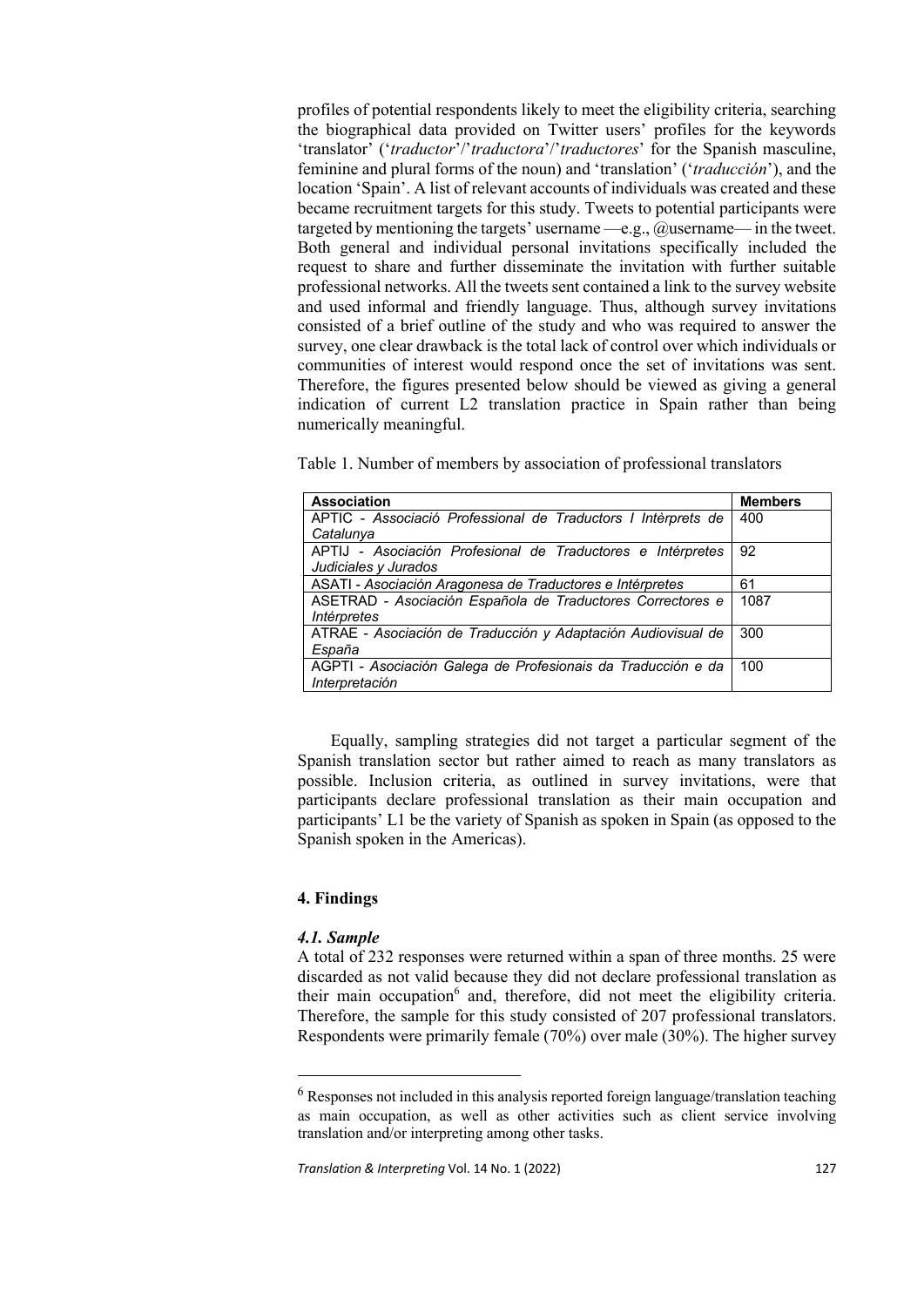profiles of potential respondents likely to meet the eligibility criteria, searching the biographical data provided on Twitter users' profiles for the keywords 'translator' ('*traductor*'/'*traductora*'/'*traductores*' for the Spanish masculine, feminine and plural forms of the noun) and 'translation' ('*traducción*'), and the location 'Spain'. A list of relevant accounts of individuals was created and these became recruitment targets for this study. Tweets to potential participants were targeted by mentioning the targets' username —e.g.,  $@$  username— in the tweet. Both general and individual personal invitations specifically included the request to share and further disseminate the invitation with further suitable professional networks. All the tweets sent contained a link to the survey website and used informal and friendly language. Thus, although survey invitations consisted of a brief outline of the study and who was required to answer the survey, one clear drawback is the total lack of control over which individuals or communities of interest would respond once the set of invitations was sent. Therefore, the figures presented below should be viewed as giving a general indication of current L2 translation practice in Spain rather than being numerically meaningful.

Table 1. Number of members by association of professional translators

| <b>Association</b>                                                                      | <b>Members</b> |
|-----------------------------------------------------------------------------------------|----------------|
| APTIC - Associació Professional de Traductors I Intèrprets de                           | 400            |
| Catalunya                                                                               |                |
| - Asociación Profesional de Traductores e Intérpretes<br>APTIJ<br>Judiciales y Jurados  | 92             |
| ASATI - Asociación Aragonesa de Traductores e Intérpretes                               | 61             |
| ASETRAD - Asociación Española de Traductores Correctores e<br><i><b>Intérpretes</b></i> | 1087           |
| ATRAE - Asociación de Traducción y Adaptación Audiovisual de<br>España                  | 300            |
| AGPTI - Asociación Galega de Profesionais da Traducción e da<br>Interpretación          | 100            |

Equally, sampling strategies did not target a particular segment of the Spanish translation sector but rather aimed to reach as many translators as possible. Inclusion criteria, as outlined in survey invitations, were that participants declare professional translation as their main occupation and participants' L1 be the variety of Spanish as spoken in Spain (as opposed to the Spanish spoken in the Americas).

# **4. Findings**

# *4.1. Sample*

A total of 232 responses were returned within a span of three months. 25 were discarded as not valid because they did not declare professional translation as their main occupation $6$  and, therefore, did not meet the eligibility criteria. Therefore, the sample for this study consisted of 207 professional translators. Respondents were primarily female (70%) over male (30%). The higher survey

 $6$  Responses not included in this analysis reported foreign language/translation teaching as main occupation, as well as other activities such as client service involving translation and/or interpreting among other tasks.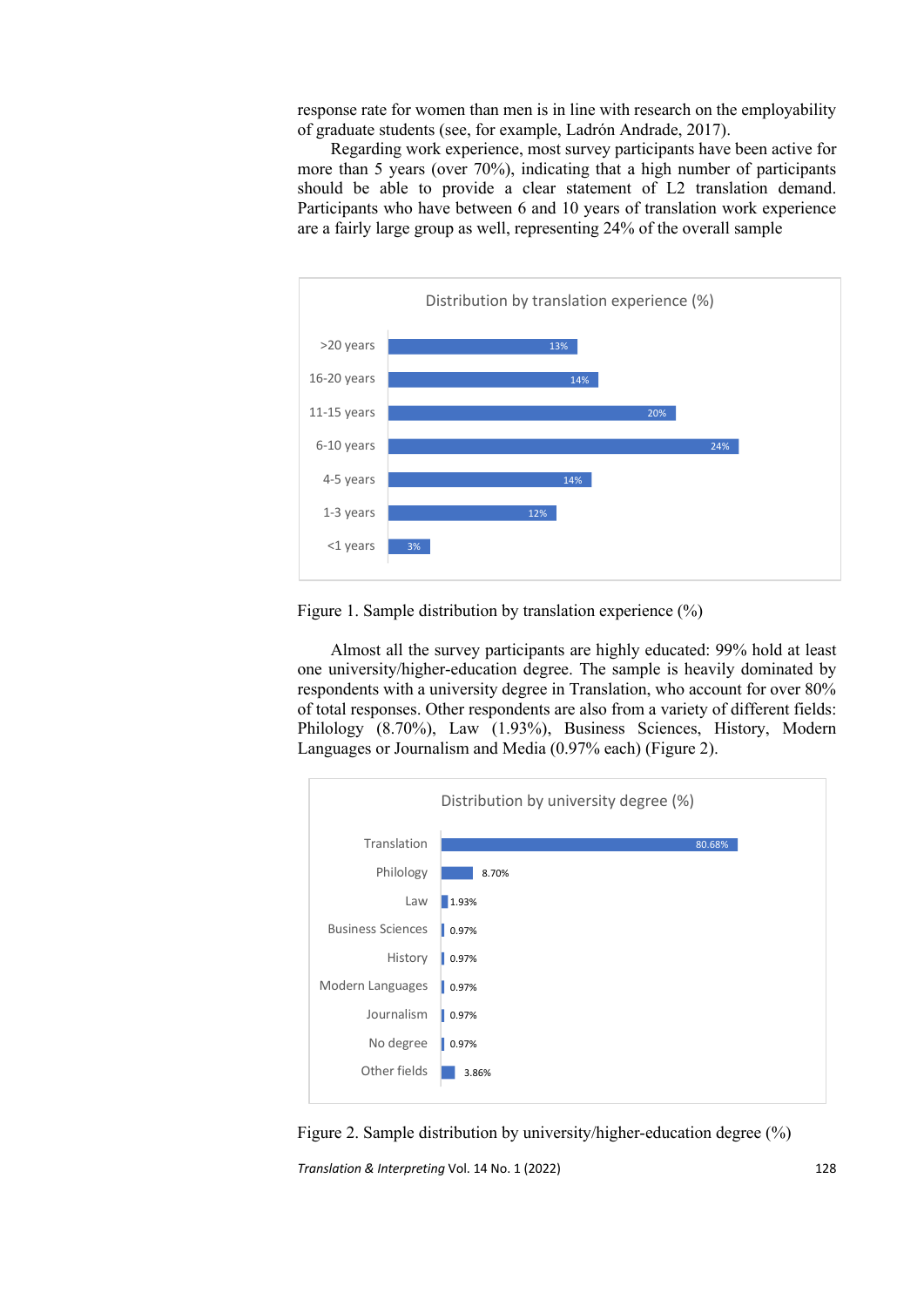response rate for women than men is in line with research on the employability of graduate students (see, for example, Ladrón Andrade, 2017).

Regarding work experience, most survey participants have been active for more than 5 years (over 70%), indicating that a high number of participants should be able to provide a clear statement of L2 translation demand. Participants who have between 6 and 10 years of translation work experience are a fairly large group as well, representing 24% of the overall sample





Almost all the survey participants are highly educated: 99% hold at least one university/higher-education degree. The sample is heavily dominated by respondents with a university degree in Translation, who account for over 80% of total responses. Other respondents are also from a variety of different fields: Philology (8.70%), Law (1.93%), Business Sciences, History, Modern Languages or Journalism and Media (0.97% each) (Figure 2).



*Translation & Interpreting* Vol. 14 No. 1 (2022) Figure 2. Sample distribution by university/higher-education degree (%)

128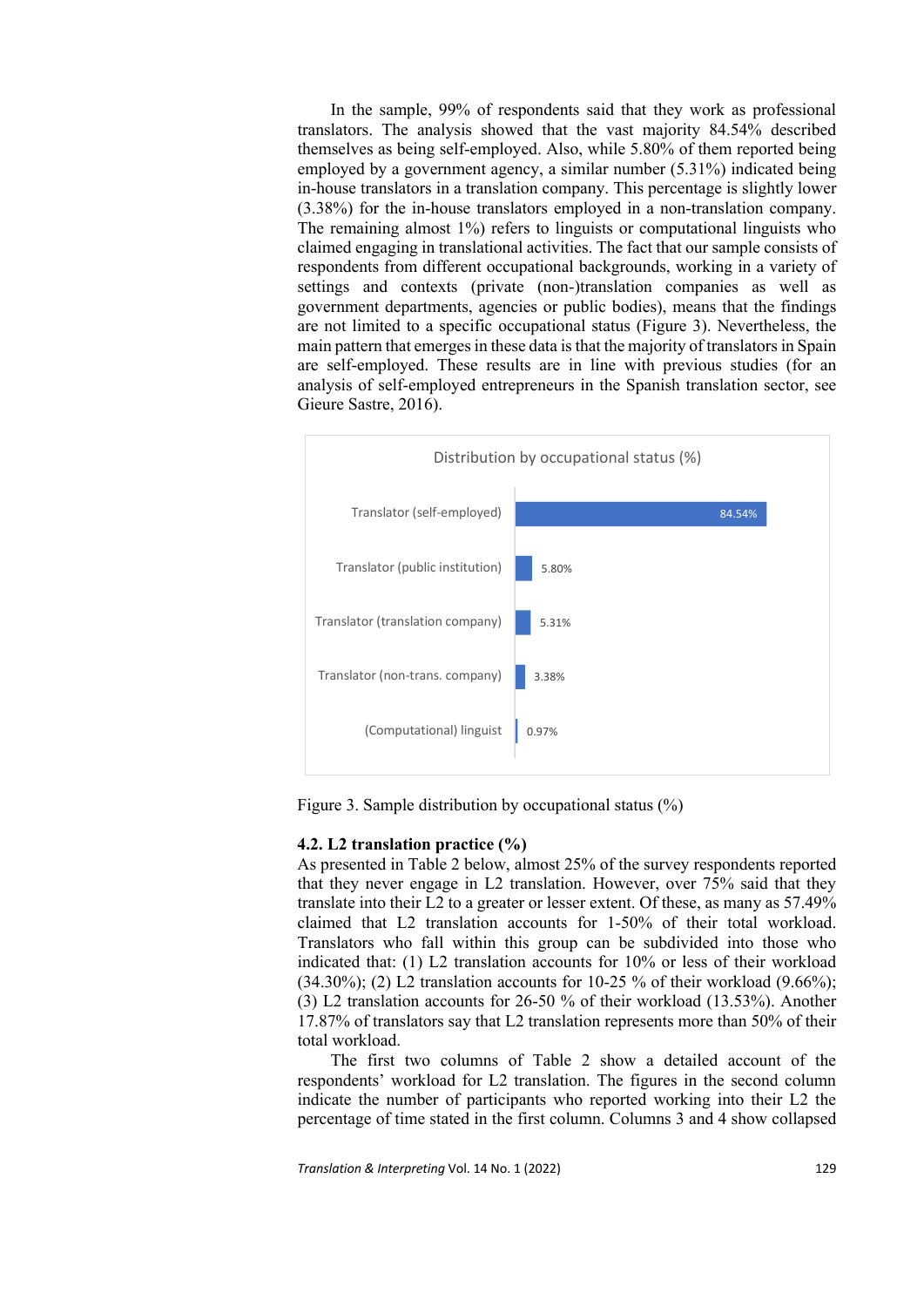In the sample, 99% of respondents said that they work as professional translators. The analysis showed that the vast majority 84.54% described themselves as being self-employed. Also, while 5.80% of them reported being employed by a government agency, a similar number (5.31%) indicated being in-house translators in a translation company. This percentage is slightly lower (3.38%) for the in-house translators employed in a non-translation company. The remaining almost 1%) refers to linguists or computational linguists who claimed engaging in translational activities. The fact that our sample consists of respondents from different occupational backgrounds, working in a variety of settings and contexts (private (non-)translation companies as well as government departments, agencies or public bodies), means that the findings are not limited to a specific occupational status (Figure 3). Nevertheless, the main pattern that emerges in these data is that the majority of translatorsin Spain are self-employed. These results are in line with previous studies (for an analysis of self-employed entrepreneurs in the Spanish translation sector, see Gieure Sastre, 2016).



Figure 3. Sample distribution by occupational status (%)

#### **4.2. L2 translation practice (%)**

As presented in Table 2 below, almost 25% of the survey respondents reported that they never engage in L2 translation. However, over 75% said that they translate into their L2 to a greater or lesser extent. Of these, as many as 57.49% claimed that L2 translation accounts for 1-50% of their total workload. Translators who fall within this group can be subdivided into those who indicated that: (1) L2 translation accounts for 10% or less of their workload  $(34.30\%)$ ; (2) L2 translation accounts for 10-25 % of their workload  $(9.66\%)$ ; (3) L2 translation accounts for 26-50 % of their workload (13.53%). Another 17.87% of translators say that L2 translation represents more than 50% of their total workload.

The first two columns of Table 2 show a detailed account of the respondents' workload for L2 translation. The figures in the second column indicate the number of participants who reported working into their L2 the percentage of time stated in the first column. Columns 3 and 4 show collapsed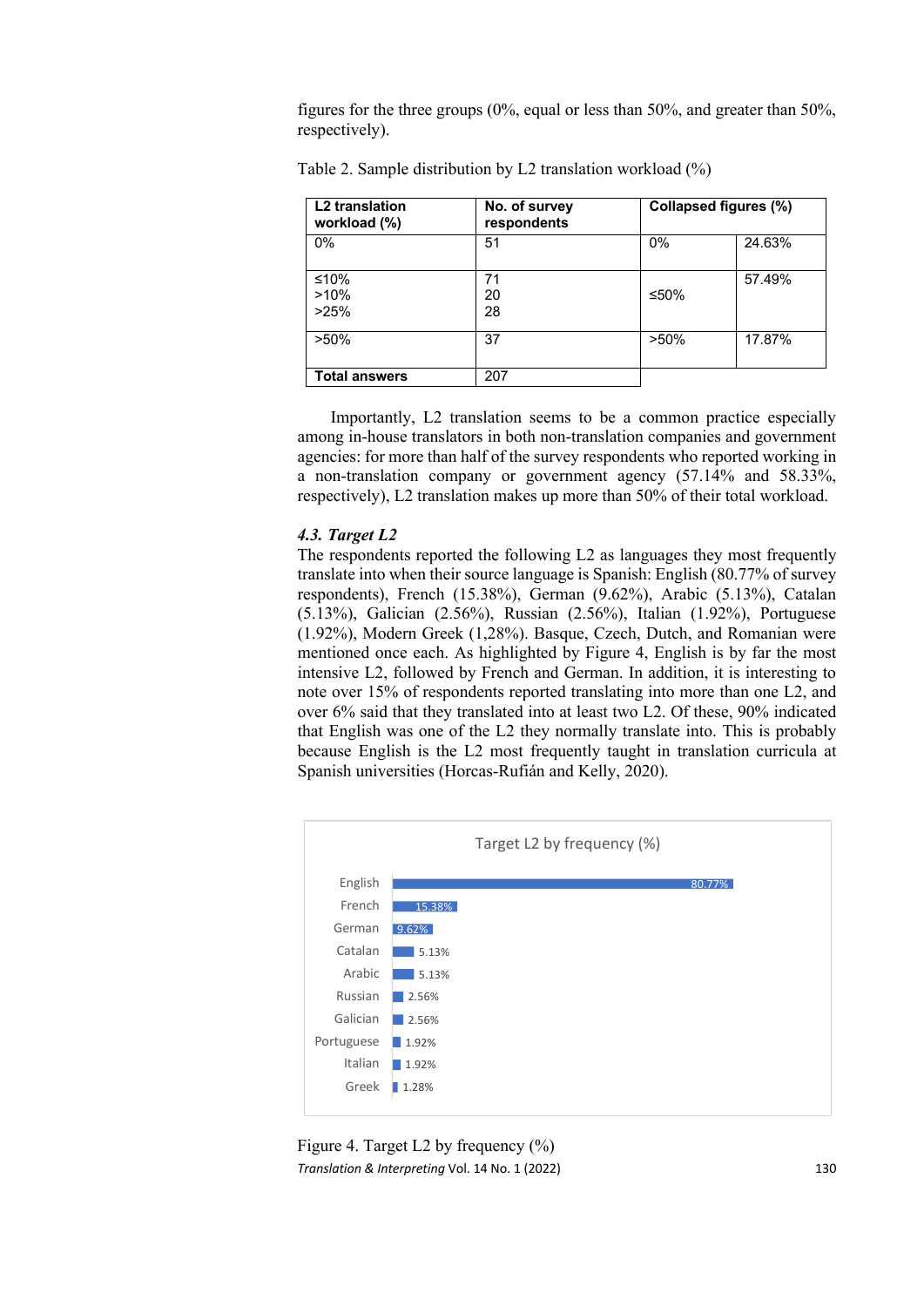figures for the three groups (0%, equal or less than 50%, and greater than 50%, respectively).

| L <sub>2</sub> translation<br>workload (%) | No. of survey<br>respondents |         | Collapsed figures (%) |
|--------------------------------------------|------------------------------|---------|-----------------------|
| $0\%$                                      | 51                           | 0%      | 24.63%                |
| $≤10%$<br>>10%<br>>25%                     | 71<br>20<br>28               | ≤50%    | 57.49%                |
| $>50\%$                                    | 37                           | $>50\%$ | 17.87%                |
| <b>Total answers</b>                       | 207                          |         |                       |

Table 2. Sample distribution by L2 translation workload (%)

Importantly, L2 translation seems to be a common practice especially among in-house translators in both non-translation companies and government agencies: for more than half of the survey respondents who reported working in a non-translation company or government agency (57.14% and 58.33%, respectively), L2 translation makes up more than 50% of their total workload.

# *4.3. Target L2*

The respondents reported the following L2 as languages they most frequently translate into when their source language is Spanish: English (80.77% of survey respondents), French (15.38%), German (9.62%), Arabic (5.13%), Catalan (5.13%), Galician (2.56%), Russian (2.56%), Italian (1.92%), Portuguese (1.92%), Modern Greek (1,28%). Basque, Czech, Dutch, and Romanian were mentioned once each. As highlighted by Figure 4, English is by far the most intensive L2, followed by French and German. In addition, it is interesting to note over 15% of respondents reported translating into more than one L2, and over 6% said that they translated into at least two L2. Of these, 90% indicated that English was one of the L2 they normally translate into. This is probably because English is the L2 most frequently taught in translation curricula at Spanish universities (Horcas-Rufián and Kelly, 2020).



*Translation & Interpreting* Vol. 14 No. 1 (2022) Figure 4. Target L2 by frequency (%)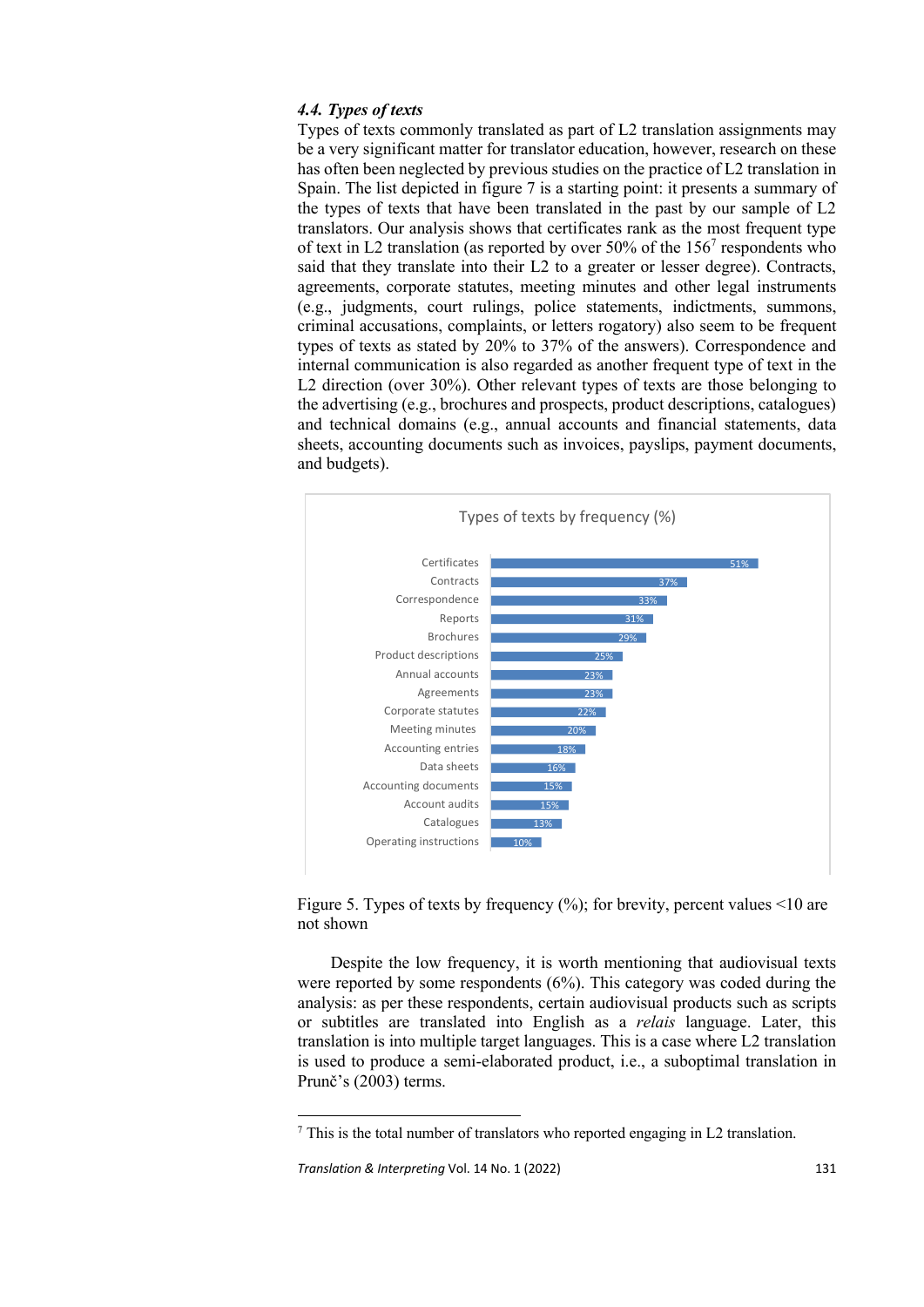#### *4.4. Types of texts*

Types of texts commonly translated as part of L2 translation assignments may be a very significant matter for translator education, however, research on these has often been neglected by previous studies on the practice of L2 translation in Spain. The list depicted in figure 7 is a starting point: it presents a summary of the types of texts that have been translated in the past by our sample of L2 translators. Our analysis shows that certificates rank as the most frequent type of text in L2 translation (as reported by over  $50\%$  of the  $156<sup>7</sup>$  respondents who said that they translate into their L2 to a greater or lesser degree). Contracts, agreements, corporate statutes, meeting minutes and other legal instruments (e.g., judgments, court rulings, police statements, indictments, summons, criminal accusations, complaints, or letters rogatory) also seem to be frequent types of texts as stated by 20% to 37% of the answers). Correspondence and internal communication is also regarded as another frequent type of text in the L2 direction (over 30%). Other relevant types of texts are those belonging to the advertising (e.g., brochures and prospects, product descriptions, catalogues) and technical domains (e.g., annual accounts and financial statements, data sheets, accounting documents such as invoices, payslips, payment documents, and budgets).



Figure 5. Types of texts by frequency (%); for brevity, percent values <10 are not shown

Despite the low frequency, it is worth mentioning that audiovisual texts were reported by some respondents (6%). This category was coded during the analysis: as per these respondents, certain audiovisual products such as scripts or subtitles are translated into English as a *relais* language. Later, this translation is into multiple target languages. This is a case where L2 translation is used to produce a semi-elaborated product, i.e., a suboptimal translation in Prunč's (2003) terms.

 $\frac{7}{7}$  This is the total number of translators who reported engaging in L2 translation.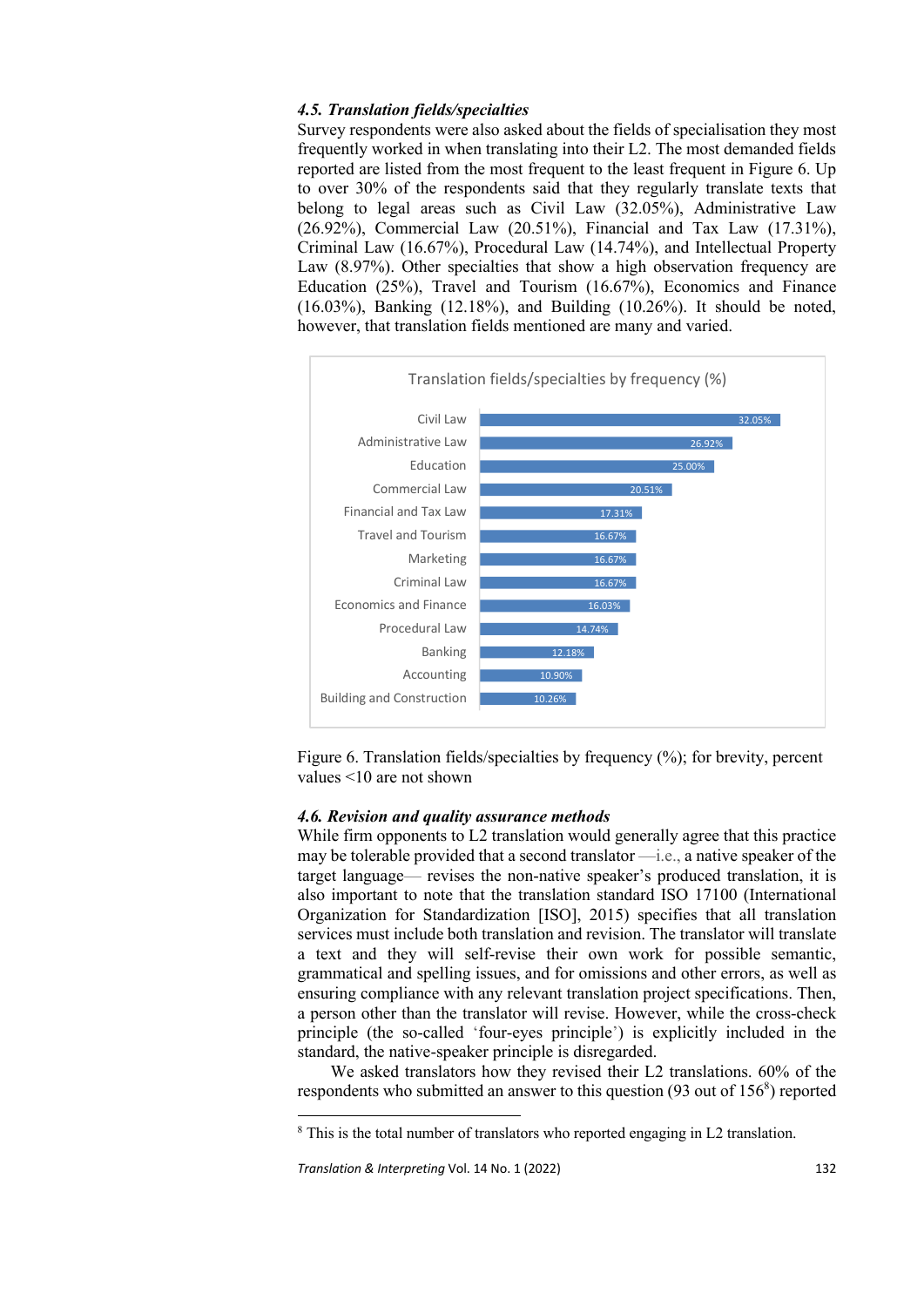# *4.5. Translation fields/specialties*

Survey respondents were also asked about the fields of specialisation they most frequently worked in when translating into their L2. The most demanded fields reported are listed from the most frequent to the least frequent in Figure 6. Up to over 30% of the respondents said that they regularly translate texts that belong to legal areas such as Civil Law (32.05%), Administrative Law (26.92%), Commercial Law (20.51%), Financial and Tax Law (17.31%), Criminal Law (16.67%), Procedural Law (14.74%), and Intellectual Property Law (8.97%). Other specialties that show a high observation frequency are Education (25%), Travel and Tourism (16.67%), Economics and Finance (16.03%), Banking (12.18%), and Building (10.26%). It should be noted, however, that translation fields mentioned are many and varied.



Figure 6. Translation fields/specialties by frequency (%); for brevity, percent values <10 are not shown

#### *4.6. Revision and quality assurance methods*

While firm opponents to L2 translation would generally agree that this practice may be tolerable provided that a second translator —i.e., a native speaker of the target language— revises the non-native speaker's produced translation, it is also important to note that the translation standard ISO 17100 (International Organization for Standardization [ISO], 2015) specifies that all translation services must include both translation and revision. The translator will translate a text and they will self-revise their own work for possible semantic, grammatical and spelling issues, and for omissions and other errors, as well as ensuring compliance with any relevant translation project specifications. Then, a person other than the translator will revise. However, while the cross-check principle (the so-called 'four-eyes principle') is explicitly included in the standard, the native-speaker principle is disregarded.

We asked translators how they revised their L2 translations. 60% of the respondents who submitted an answer to this question  $(93 \text{ out of } 156^8)$  reported

<sup>&</sup>lt;sup>8</sup> This is the total number of translators who reported engaging in L2 translation.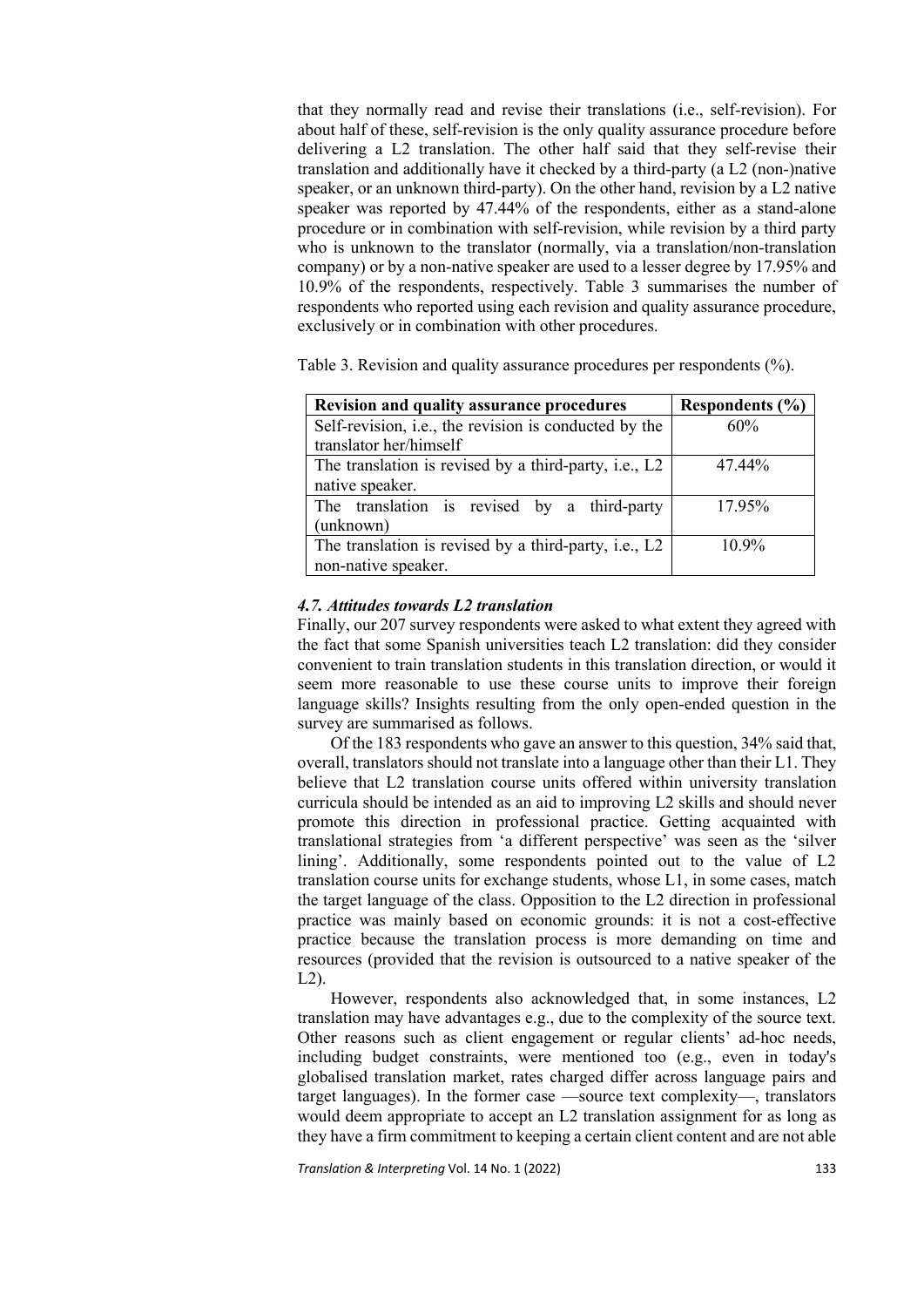that they normally read and revise their translations (i.e., self-revision). For about half of these, self-revision is the only quality assurance procedure before delivering a L2 translation. The other half said that they self-revise their translation and additionally have it checked by a third-party (a L2 (non-)native speaker, or an unknown third-party). On the other hand, revision by a L2 native speaker was reported by 47.44% of the respondents, either as a stand-alone procedure or in combination with self-revision, while revision by a third party who is unknown to the translator (normally, via a translation/non-translation company) or by a non-native speaker are used to a lesser degree by 17.95% and 10.9% of the respondents, respectively. Table 3 summarises the number of respondents who reported using each revision and quality assurance procedure, exclusively or in combination with other procedures.

Table 3. Revision and quality assurance procedures per respondents (%).

| <b>Revision and quality assurance procedures</b>      | Respondents $(\% )$ |
|-------------------------------------------------------|---------------------|
| Self-revision, i.e., the revision is conducted by the | 60%                 |
| translator her/himself                                |                     |
| The translation is revised by a third-party, i.e., L2 | 47.44%              |
| native speaker.                                       |                     |
| The translation is revised by a third-party           | 17.95%              |
| (unknown)                                             |                     |
| The translation is revised by a third-party, i.e., L2 | $10.9\%$            |
| non-native speaker.                                   |                     |

#### *4.7. Attitudes towards L2 translation*

Finally, our 207 survey respondents were asked to what extent they agreed with the fact that some Spanish universities teach L2 translation: did they consider convenient to train translation students in this translation direction, or would it seem more reasonable to use these course units to improve their foreign language skills? Insights resulting from the only open-ended question in the survey are summarised as follows.

Of the 183 respondents who gave an answer to this question, 34% said that, overall, translators should not translate into a language other than their L1. They believe that L2 translation course units offered within university translation curricula should be intended as an aid to improving L2 skills and should never promote this direction in professional practice. Getting acquainted with translational strategies from 'a different perspective' was seen as the 'silver lining'. Additionally, some respondents pointed out to the value of L2 translation course units for exchange students, whose L1, in some cases, match the target language of the class. Opposition to the L2 direction in professional practice was mainly based on economic grounds: it is not a cost-effective practice because the translation process is more demanding on time and resources (provided that the revision is outsourced to a native speaker of the L2).

However, respondents also acknowledged that, in some instances, L2 translation may have advantages e.g., due to the complexity of the source text. Other reasons such as client engagement or regular clients' ad-hoc needs, including budget constraints, were mentioned too (e.g., even in today's globalised translation market, rates charged differ across language pairs and target languages). In the former case —source text complexity—, translators would deem appropriate to accept an L2 translation assignment for as long as they have a firm commitment to keeping a certain client content and are not able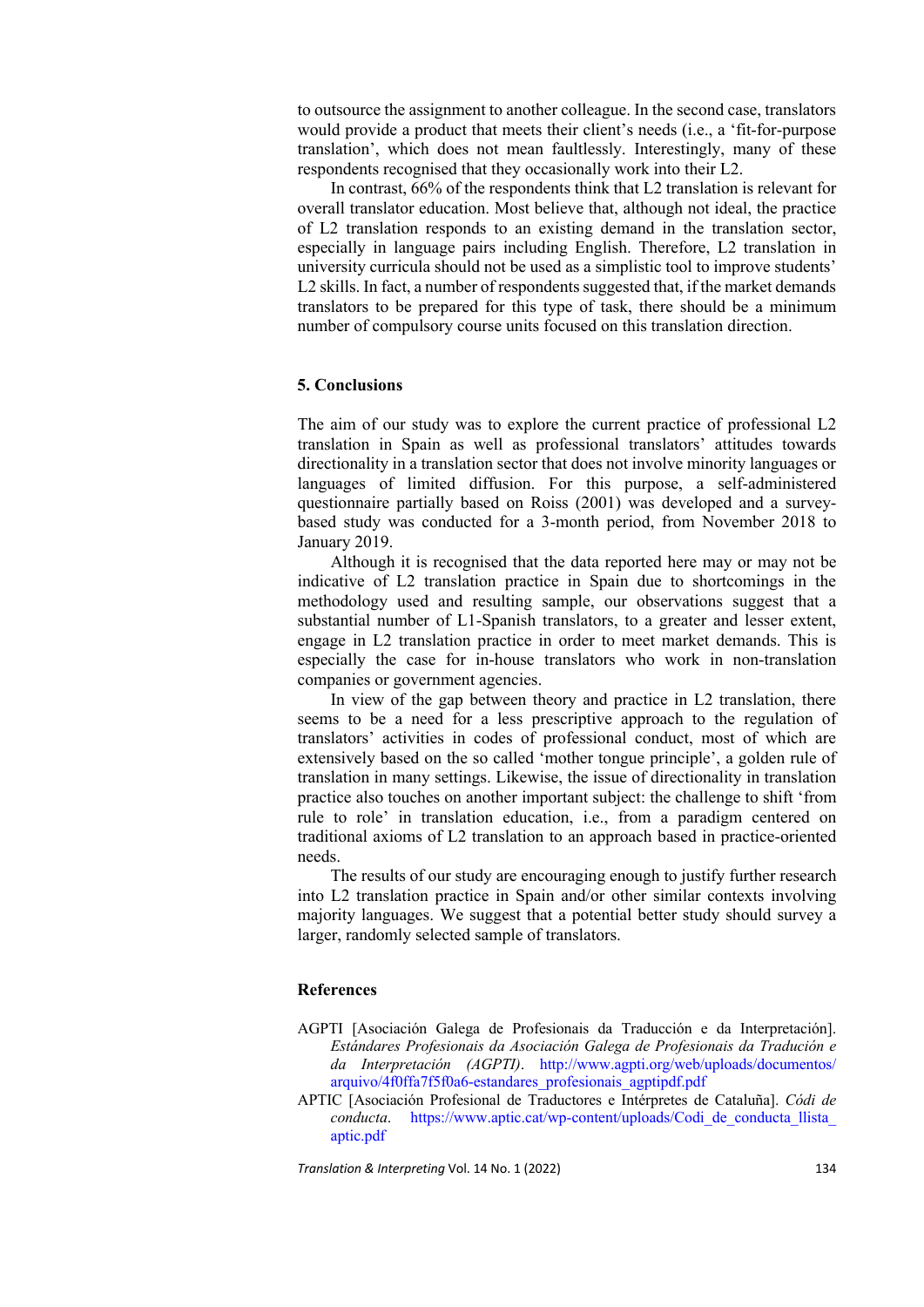to outsource the assignment to another colleague. In the second case, translators would provide a product that meets their client's needs (i.e., a 'fit-for-purpose translation', which does not mean faultlessly. Interestingly, many of these respondents recognised that they occasionally work into their L2.

In contrast, 66% of the respondents think that L2 translation is relevant for overall translator education. Most believe that, although not ideal, the practice of L2 translation responds to an existing demand in the translation sector, especially in language pairs including English. Therefore, L2 translation in university curricula should not be used as a simplistic tool to improve students' L<sub>2</sub> skills. In fact, a number of respondents suggested that, if the market demands translators to be prepared for this type of task, there should be a minimum number of compulsory course units focused on this translation direction.

# **5. Conclusions**

The aim of our study was to explore the current practice of professional L2 translation in Spain as well as professional translators' attitudes towards directionality in a translation sector that does not involve minority languages or languages of limited diffusion. For this purpose, a self-administered questionnaire partially based on Roiss (2001) was developed and a surveybased study was conducted for a 3-month period, from November 2018 to January 2019.

Although it is recognised that the data reported here may or may not be indicative of L2 translation practice in Spain due to shortcomings in the methodology used and resulting sample, our observations suggest that a substantial number of L1-Spanish translators, to a greater and lesser extent, engage in L2 translation practice in order to meet market demands. This is especially the case for in-house translators who work in non-translation companies or government agencies.

In view of the gap between theory and practice in L2 translation, there seems to be a need for a less prescriptive approach to the regulation of translators' activities in codes of professional conduct, most of which are extensively based on the so called 'mother tongue principle', a golden rule of translation in many settings. Likewise, the issue of directionality in translation practice also touches on another important subject: the challenge to shift 'from rule to role' in translation education, i.e., from a paradigm centered on traditional axioms of L2 translation to an approach based in practice-oriented needs.

The results of our study are encouraging enough to justify further research into L2 translation practice in Spain and/or other similar contexts involving majority languages. We suggest that a potential better study should survey a larger, randomly selected sample of translators.

# **References**

- AGPTI [Asociación Galega de Profesionais da Traducción e da Interpretación]. *Estándares Profesionais da Asociación Galega de Profesionais da Tradución e da Interpretación (AGPTI)*. http://www.agpti.org/web/uploads/documentos/ arquivo/4f0ffa7f5f0a6-estandares\_profesionais\_agptipdf.pdf
- APTIC [Asociación Profesional de Traductores e Intérpretes de Cataluña]. *Códi de conducta*. https://www.aptic.cat/wp-content/uploads/Codi\_de\_conducta\_llista\_ aptic.pdf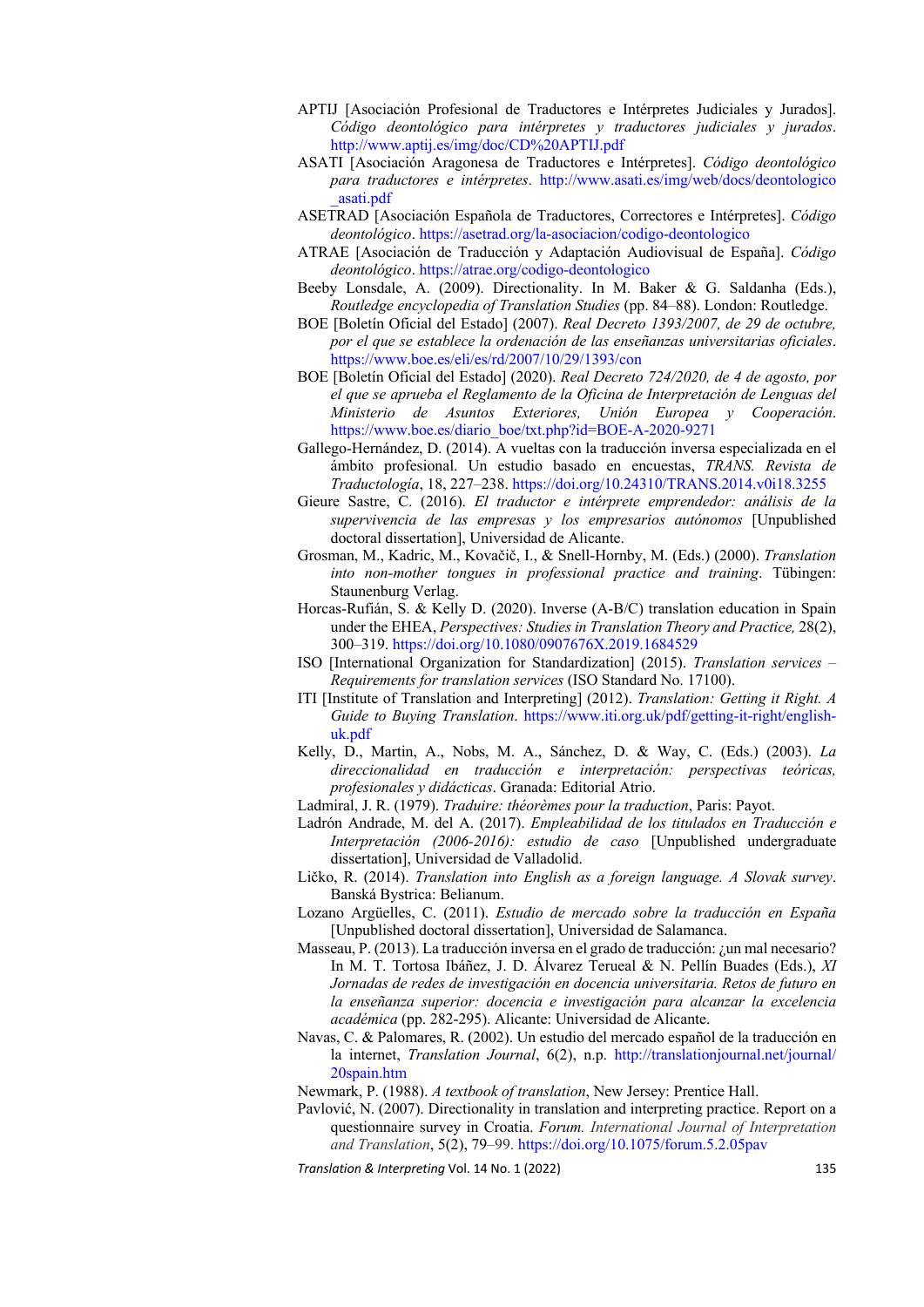- APTIJ [Asociación Profesional de Traductores e Intérpretes Judiciales y Jurados]. *Código deontológico para intérpretes y traductores judiciales y jurados*. http://www.aptij.es/img/doc/CD%20APTIJ.pdf
- ASATI [Asociación Aragonesa de Traductores e Intérpretes]. *Código deontológico para traductores e intérpretes*. http://www.asati.es/img/web/docs/deontologico \_asati.pdf
- ASETRAD [Asociación Española de Traductores, Correctores e Intérpretes]. *Código deontológico*. https://asetrad.org/la-asociacion/codigo-deontologico
- ATRAE [Asociación de Traducción y Adaptación Audiovisual de España]. *Código deontológico*. https://atrae.org/codigo-deontologico
- Beeby Lonsdale, A. (2009). Directionality. In M. Baker & G. Saldanha (Eds.), *Routledge encyclopedia of Translation Studies* (pp. 84–88). London: Routledge.
- BOE [Boletín Oficial del Estado] (2007). *Real Decreto 1393/2007, de 29 de octubre, por el que se establece la ordenación de las enseñanzas universitarias oficiales*. https://www.boe.es/eli/es/rd/2007/10/29/1393/con
- BOE [Boletín Oficial del Estado] (2020). *Real Decreto 724/2020, de 4 de agosto, por el que se aprueba el Reglamento de la Oficina de Interpretación de Lenguas del Ministerio de Asuntos Exteriores, Unión Europea y Cooperación*. https://www.boe.es/diario\_boe/txt.php?id=BOE-A-2020-9271
- Gallego-Hernández, D. (2014). A vueltas con la traducción inversa especializada en el ámbito profesional. Un estudio basado en encuestas, *TRANS. Revista de Traductología*, 18, 227–238. https://doi.org/10.24310/TRANS.2014.v0i18.3255
- Gieure Sastre, C. (2016). *El traductor e intérprete emprendedor: análisis de la supervivencia de las empresas y los empresarios autónomos* [Unpublished doctoral dissertation], Universidad de Alicante.
- Grosman, M., Kadric, M., Kovačič, I., & Snell‐Hornby, M. (Eds.) (2000). *Translation into non‐mother tongues in professional practice and training*. Tübingen: Staunenburg Verlag.
- Horcas-Rufián, S. & Kelly D. (2020). Inverse (A-B/C) translation education in Spain under the EHEA, *Perspectives: Studies in Translation Theory and Practice,* 28(2), 300–319. https://doi.org/10.1080/0907676X.2019.1684529
- ISO [International Organization for Standardization] (2015). *Translation services Requirements for translation services* (ISO Standard No. 17100).
- ITI [Institute of Translation and Interpreting] (2012). *Translation: Getting it Right. A Guide to Buying Translation*. https://www.iti.org.uk/pdf/getting-it-right/englishuk.pdf
- Kelly, D., Martin, A., Nobs, M. A., Sánchez, D. & Way, C. (Eds.) (2003). *La direccionalidad en traducción e interpretación: perspectivas teóricas, profesionales y didácticas*. Granada: Editorial Atrio.
- Ladmiral, J. R. (1979). *Traduire: théorèmes pour la traduction*, Paris: Payot.
- Ladrón Andrade, M. del A. (2017). *Empleabilidad de los titulados en Traducción e Interpretación (2006-2016): estudio de caso* [Unpublished undergraduate dissertation], Universidad de Valladolid.
- Ličko, R. (2014). *Translation into English as a foreign language. A Slovak survey*. Banská Bystrica: Belianum.
- Lozano Argüelles, C. (2011). *Estudio de mercado sobre la traducción en España* [Unpublished doctoral dissertation], Universidad de Salamanca.
- Masseau, P. (2013). La traducción inversa en el grado de traducción: ¿un mal necesario? In M. T. Tortosa Ibáñez, J. D. Álvarez Terueal & N. Pellín Buades (Eds.), *XI Jornadas de redes de investigación en docencia universitaria. Retos de futuro en la enseñanza superior: docencia e investigación para alcanzar la excelencia académica* (pp. 282-295). Alicante: Universidad de Alicante.
- Navas, C. & Palomares, R. (2002). Un estudio del mercado español de la traducción en la internet, *Translation Journal*, 6(2), n.p. http://translationjournal.net/journal/ 20spain.htm
- Newmark, P. (1988). *A textbook of translation*, New Jersey: Prentice Hall.
- Pavlović, N. (2007). Directionality in translation and interpreting practice. Report on a questionnaire survey in Croatia. *Forum. International Journal of Interpretation and Translation*, 5(2), 79–99. https://doi.org/10.1075/forum.5.2.05pav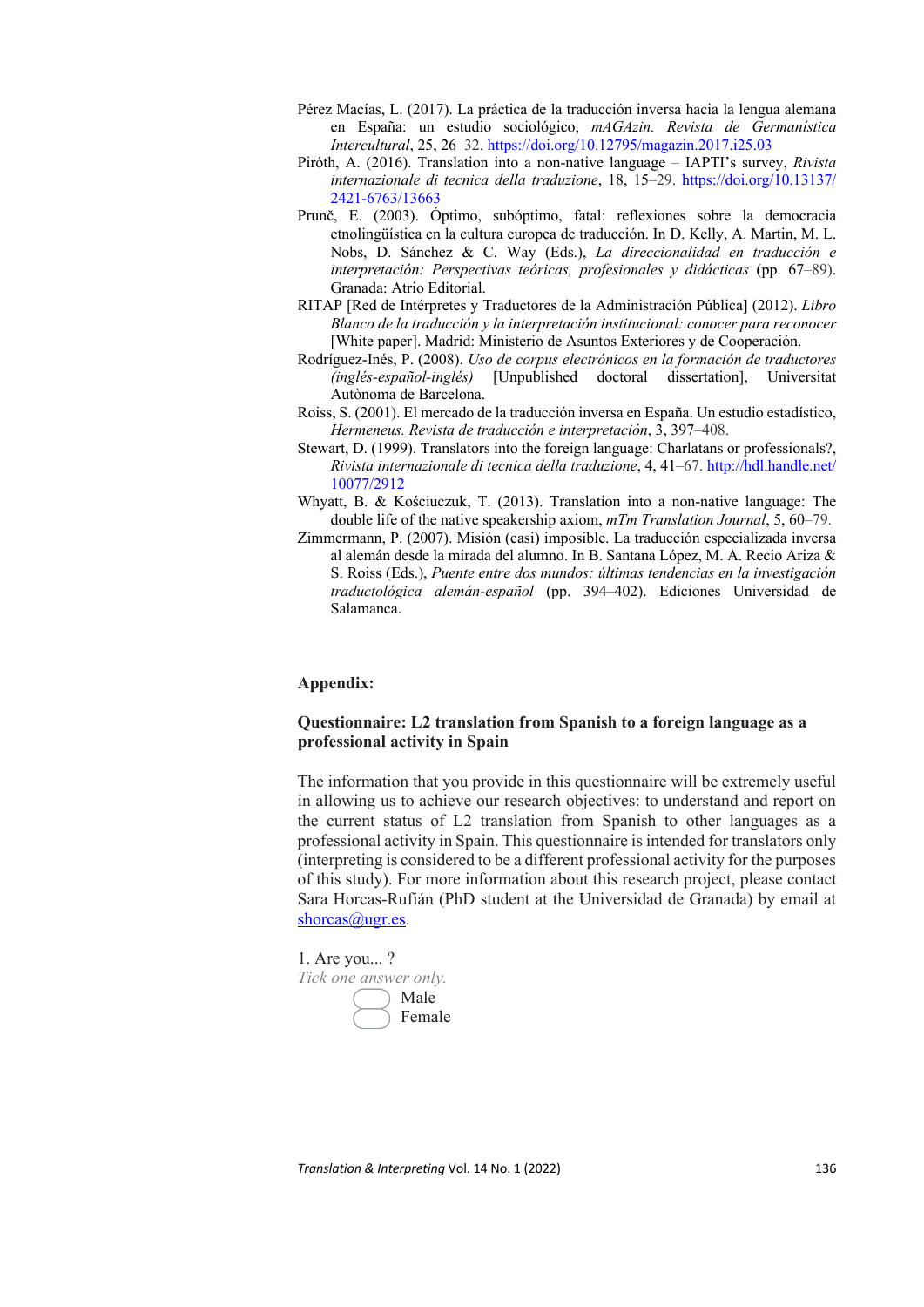- Pérez Macías, L. (2017). La práctica de la traducción inversa hacia la lengua alemana en España: un estudio sociológico, *mAGAzin. Revista de Germanística Intercultural*, 25, 26–32. https://doi.org/10.12795/magazin.2017.i25.03
- Piróth, A. (2016). Translation into a non-native language IAPTI's survey, *Rivista internazionale di tecnica della traduzione*, 18, 15–29. https://doi.org/10.13137/ 2421-6763/13663
- Prunč, E. (2003). Óptimo, subóptimo, fatal: reflexiones sobre la democracia etnolingüística en la cultura europea de traducción. In D. Kelly, A. Martin, M. L. Nobs, D. Sánchez & C. Way (Eds.), *La direccionalidad en traducción e interpretación: Perspectivas teóricas, profesionales y didácticas* (pp. 67–89). Granada: Atrio Editorial.
- RITAP [Red de Intérpretes y Traductores de la Administración Pública] (2012). *Libro Blanco de la traducción y la interpretación institucional: conocer para reconocer*  [White paper]. Madrid: Ministerio de Asuntos Exteriores y de Cooperación.
- Rodríguez-Inés, P. (2008). *Uso de corpus electrónicos en la formación de traductores (inglés-español-inglés)* [Unpublished doctoral dissertation], Universitat Autònoma de Barcelona.
- Roiss, S. (2001). El mercado de la traducción inversa en España. Un estudio estadístico, *Hermeneus. Revista de traducción e interpretación*, 3, 397–408.
- Stewart, D. (1999). Translators into the foreign language: Charlatans or professionals?, *Rivista internazionale di tecnica della traduzione*, 4, 41–67. http://hdl.handle.net/ 10077/2912
- Whyatt, B. & Kościuczuk, T. (2013). Translation into a non-native language: The double life of the native speakership axiom, *mTm Translation Journal*, 5, 60–79.
- Zimmermann, P. (2007). Misión (casi) imposible. La traducción especializada inversa al alemán desde la mirada del alumno. In B. Santana López, M. A. Recio Ariza & S. Roiss (Eds.), *Puente entre dos mundos: últimas tendencias en la investigación traductológica alemán-español* (pp. 394–402). Ediciones Universidad de Salamanca.

#### **Appendix:**

# **Questionnaire: L2 translation from Spanish to a foreign language as a professional activity in Spain**

The information that you provide in this questionnaire will be extremely useful in allowing us to achieve our research objectives: to understand and report on the current status of L2 translation from Spanish to other languages as a professional activity in Spain. This questionnaire is intended for translators only (interpreting is considered to be a different professional activity for the purposes of this study). For more information about this research project, please contact Sara Horcas-Rufián (PhD student at the Universidad de Granada) by email at shorcas@ugr.es.

1. Are you... ? *Tick one answer only.* Male Female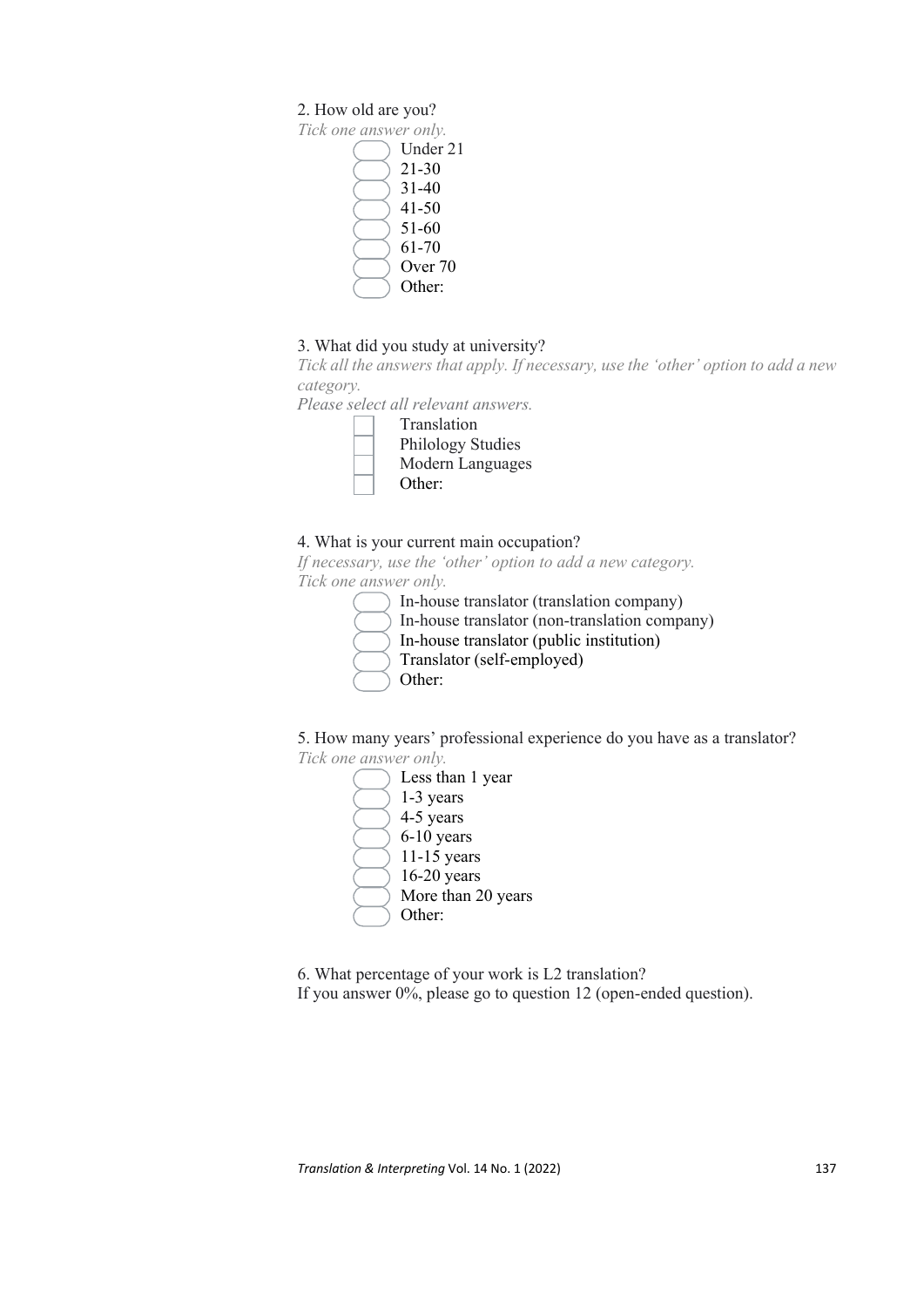# 2. How old are you?

*Tick one answer only.* Under 21 21-30 31-40 41-50 51-60 61-70 Over 70 Other:

# 3. What did you study at university?

*Tick all the answers that apply. If necessary, use the 'other' option to add a new category.*

*Please select all relevant answers.*



# 4. What is your current main occupation?

*If necessary, use the 'other' option to add a new category. Tick one answer only.*

|  | In-house translator (translation company)     |
|--|-----------------------------------------------|
|  | In-house translator (non-translation company) |
|  | In-house translator (public institution)      |
|  | Translator (self-employed)                    |
|  | Other:                                        |
|  |                                               |

5. How many years' professional experience do you have as a translator? *Tick one answer only.*

- Less than 1 year 1-3 years
- 4-5 years
- 6-10 years
- 11-15 years
- 16-20 years
- More than 20 years
- Other:

6. What percentage of your work is L2 translation? If you answer 0%, please go to question 12 (open-ended question).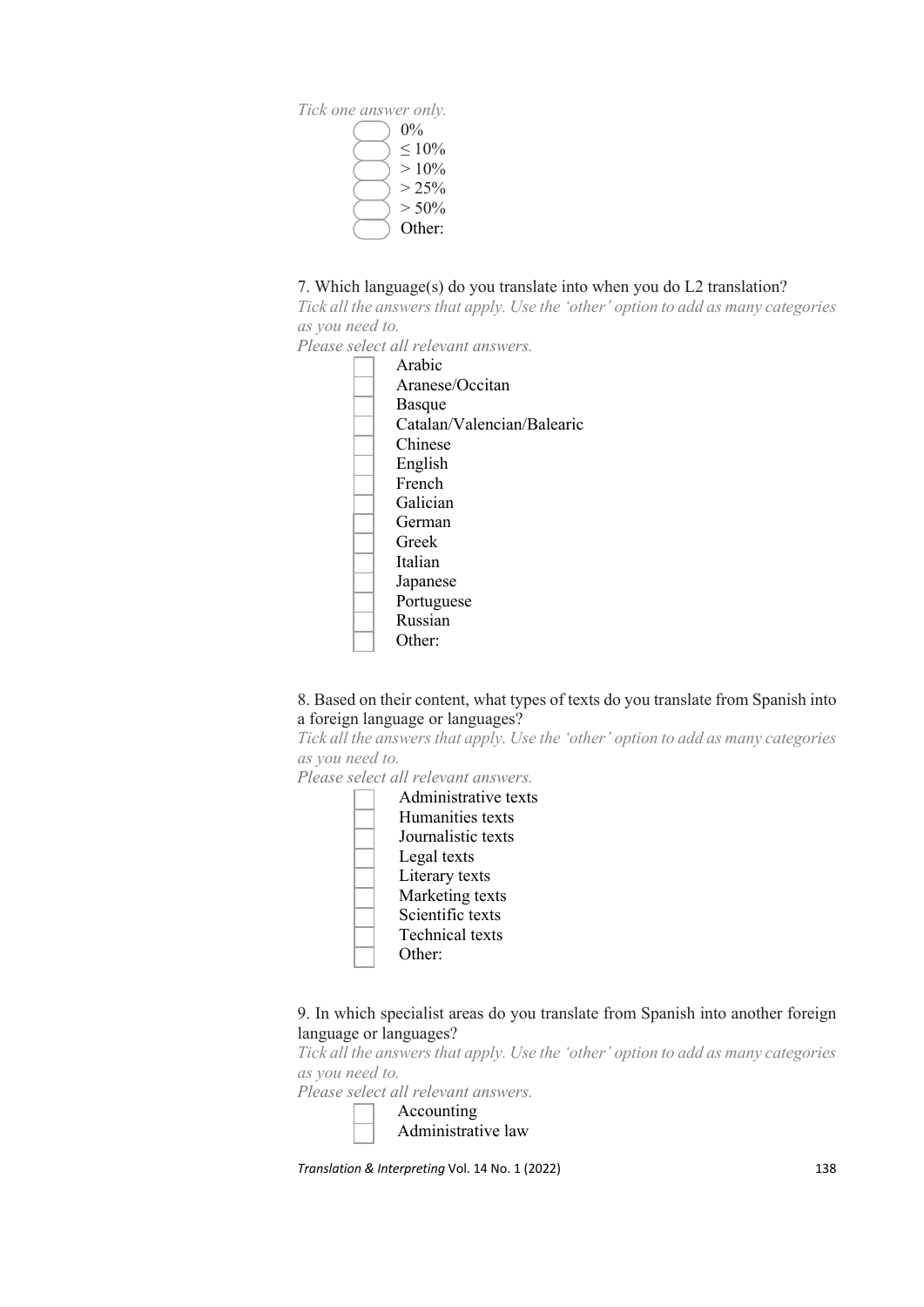*Tick one answer only.*  $0\%$  $< 10\%$  $> 10\%$  $> 25\%$  $> 50\%$ Other:

# 7. Which language(s) do you translate into when you do L2 translation?

*Tick all the answers that apply. Use the 'other' option to add as many categories as you need to.*

*Please select all relevant answers.*

Arabic Aranese/Occitan Basque Catalan/Valencian/Balearic Chinese English French Galician German Greek Italian Japanese Portuguese Russian Other:

# 8. Based on their content, what types of texts do you translate from Spanish into a foreign language or languages?

*Tick all the answers that apply. Use the 'other' option to add as many categories as you need to.*

*Please select all relevant answers.*

| Administrative texts   |
|------------------------|
| Humanities texts       |
| Journalistic texts     |
| Legal texts            |
| Literary texts         |
| Marketing texts        |
| Scientific texts       |
| <b>Technical</b> texts |
| Other:                 |
|                        |

# 9. In which specialist areas do you translate from Spanish into another foreign language or languages?

*Tick all the answers that apply. Use the 'other' option to add as many categories as you need to.*

*Please select all relevant answers.*

Accounting Administrative law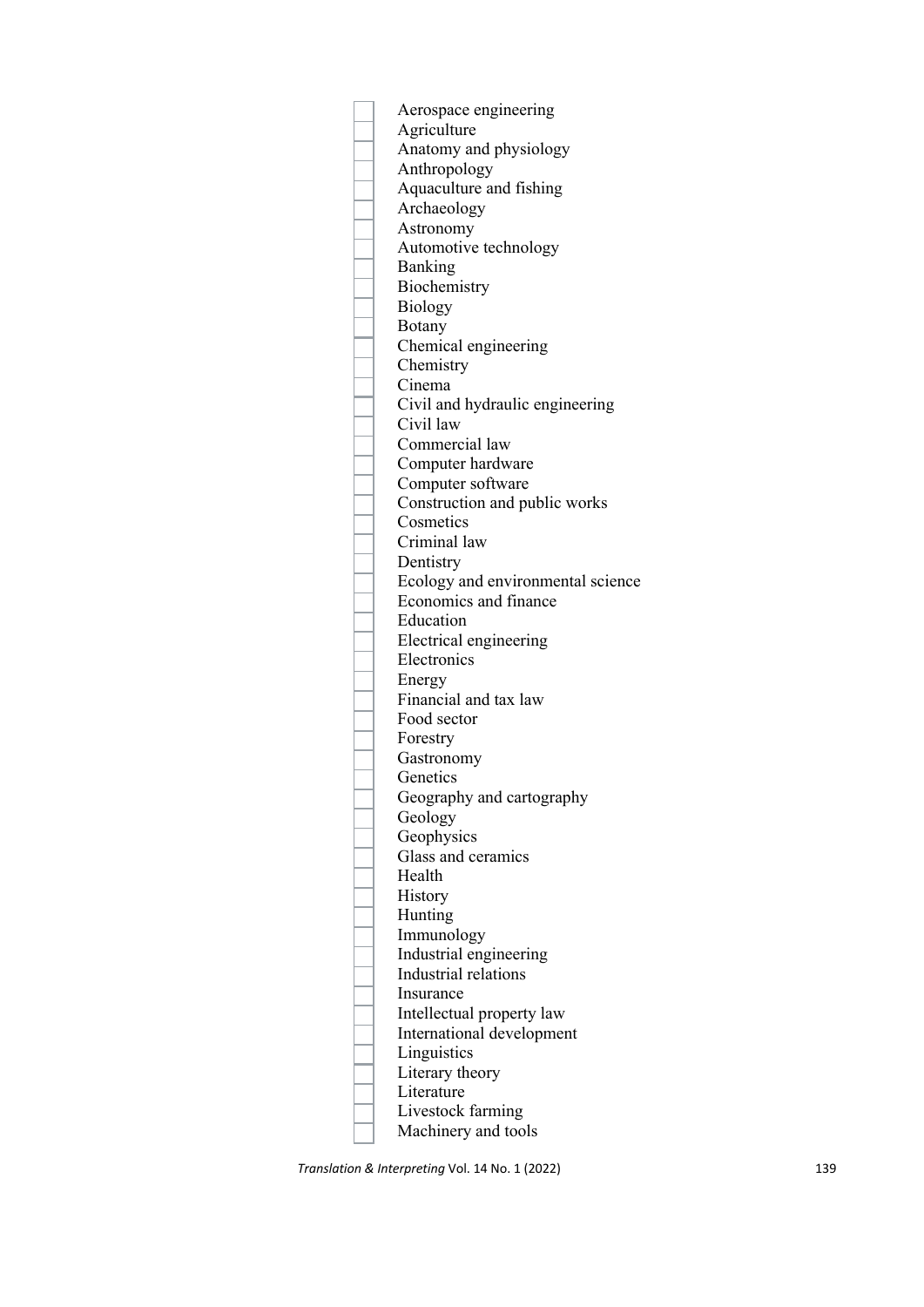Aerospace engineering **Agriculture** Anatomy and physiology Anthropology Aquaculture and fishing Archaeology Astronomy Automotive technology Banking Biochemistry Biology Botany Chemical engineering Chemistry Cinema Civil and hydraulic engineering Civil law Commercial law Computer hardware Computer software Construction and public works **Cosmetics** Criminal law Dentistry Ecology and environmental science Economics and finance Education Electrical engineering Electronics Energy Financial and tax law Food sector Forestry Gastronomy **Genetics** Geography and cartography Geology **Geophysics** Glass and ceramics Health History Hunting Immunology Industrial engineering Industrial relations Insurance Intellectual property law International development Linguistics Literary theory Literature Livestock farming Machinery and tools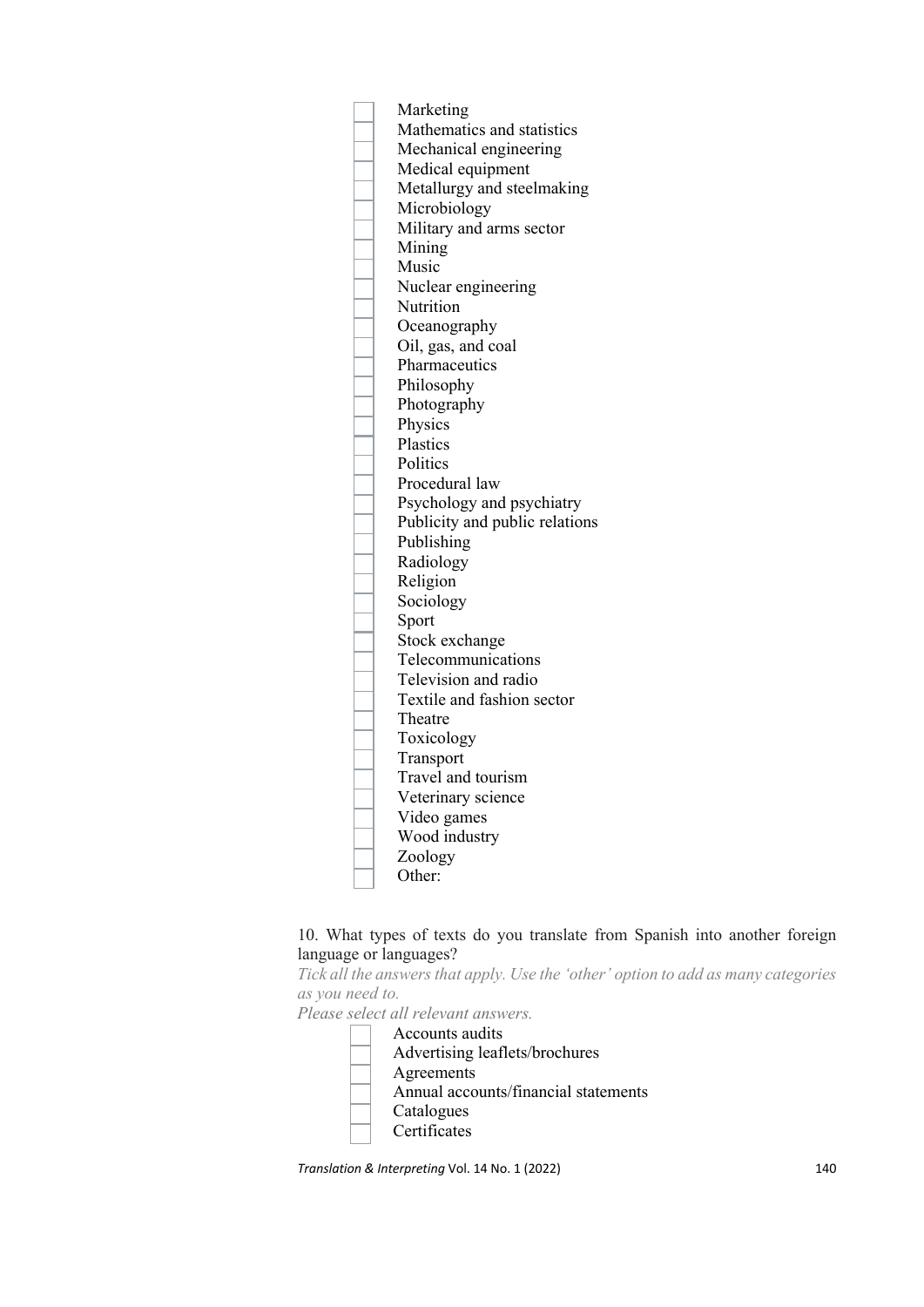

# 10. What types of texts do you translate from Spanish into another foreign language or languages?

*Tick all the answers that apply. Use the 'other' option to add as many categories as you need to.*

*Please select all relevant answers.*